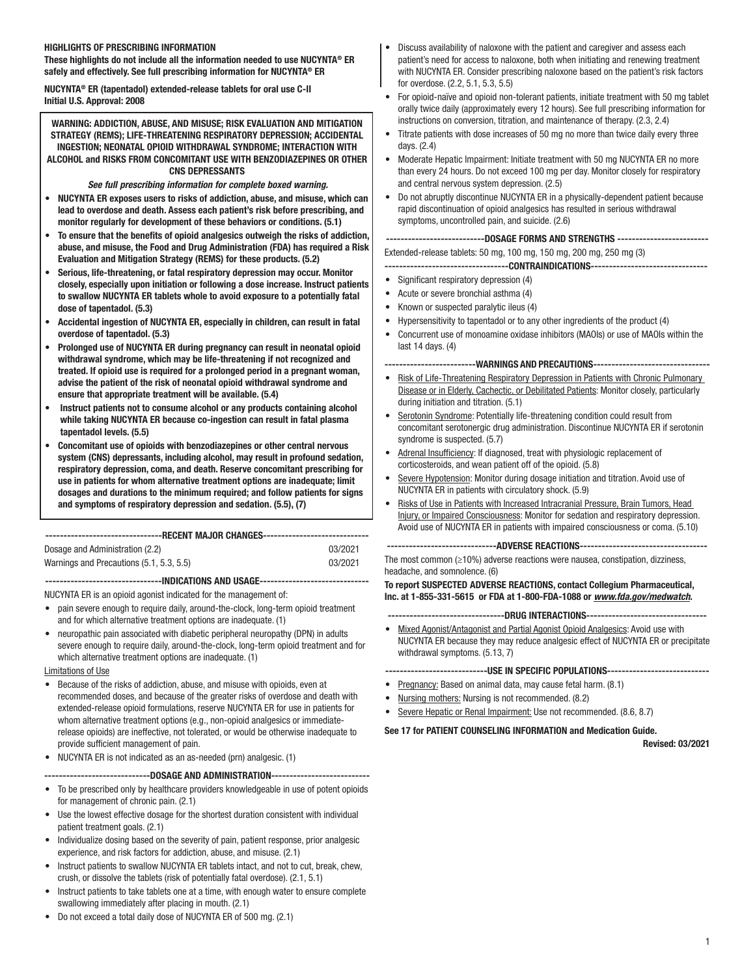### HIGHLIGHTS OF PRESCRIBING INFORMATION

These highlights do not include all the information needed to use NUCYNTA® ER safely and effectively. See full prescribing information for NUCYNTA® ER

NUCYNTA® ER (tapentadol) extended-release tablets for oral use C-II Initial U.S. Approval: 2008

WARNING: ADDICTION, ABUSE, AND MISUSE; RISK EVALUATION AND MITIGATION STRATEGY (REMS); LIFE-THREATENING RESPIRATORY DEPRESSION; ACCIDENTAL INGESTION; NEONATAL OPIOID WITHDRAWAL SYNDROME; INTERACTION WITH ALCOHOL and RISKS FROM CONCOMITANT USE WITH BENZODIAZEPINES OR OTHER CNS DEPRESSANTS

*See full prescribing information for complete boxed warning.*

- **NUCYNTA ER exposes users to risks of addiction, abuse, and misuse, which can lead to overdose and death. Assess each patient's risk before prescribing, and monitor regularly for development of these behaviors or conditions. (5.1)**
- **To ensure that the benefits of opioid analgesics outweigh the risks of addiction, abuse, and misuse, the Food and Drug Administration (FDA) has required a Risk Evaluation and Mitigation Strategy (REMS) for these products. (5.2)**
- **Serious, life-threatening, or fatal respiratory depression may occur. Monitor closely, especially upon initiation or following a dose increase. Instruct patients to swallow NUCYNTA ER tablets whole to avoid exposure to a potentially fatal dose of tapentadol. (5.3)**
- **Accidental ingestion of NUCYNTA ER, especially in children, can result in fatal overdose of tapentadol. (5.3)**
- **Prolonged use of NUCYNTA ER during pregnancy can result in neonatal opioid withdrawal syndrome, which may be life-threatening if not recognized and treated. If opioid use is required for a prolonged period in a pregnant woman, advise the patient of the risk of neonatal opioid withdrawal syndrome and ensure that appropriate treatment will be available. (5.4)**
- **Instruct patients not to consume alcohol or any products containing alcohol while taking NUCYNTA ER because co-ingestion can result in fatal plasma tapentadol levels. (5.5)**
- **Concomitant use of opioids with benzodiazepines or other central nervous system (CNS) depressants, including alcohol, may result in profound sedation, respiratory depression, coma, and death. Reserve concomitant prescribing for use in patients for whom alternative treatment options are inadequate; limit dosages and durations to the minimum required; and follow patients for signs and symptoms of respiratory depression and sedation. (5.5), (7)**

**--------------------------------RECENT MAJOR CHANGES-----------------------------** Dosage and Administration (2.2) 03/2021 Warnings and Precautions (5.1, 5.3, 5.5) 03/2021

--------------------------------INDICATIONS AND USAGE------------------------------

NUCYNTA ER is an opioid agonist indicated for the management of:

- pain severe enough to require daily, around-the-clock, long-term opioid treatment and for which alternative treatment options are inadequate. (1)
- neuropathic pain associated with diabetic peripheral neuropathy (DPN) in adults severe enough to require daily, around-the-clock, long-term opioid treatment and for which alternative treatment options are inadequate. (1)

Limitations of Use

- Because of the risks of addiction, abuse, and misuse with opioids, even at recommended doses, and because of the greater risks of overdose and death with extended-release opioid formulations, reserve NUCYNTA ER for use in patients for whom alternative treatment options (e.g., non-opioid analgesics or immediaterelease opioids) are ineffective, not tolerated, or would be otherwise inadequate to provide sufficient management of pain.
- NUCYNTA ER is not indicated as an as-needed (prn) analgesic. (1)

-----------------------------DOSAGE AND ADMINISTRATION---------------------------

- To be prescribed only by healthcare providers knowledgeable in use of potent opioids for management of chronic pain. (2.1)
- Use the lowest effective dosage for the shortest duration consistent with individual patient treatment goals. (2.1)
- Individualize dosing based on the severity of pain, patient response, prior analgesic experience, and risk factors for addiction, abuse, and misuse. (2.1)
- Instruct patients to swallow NUCYNTA ER tablets intact, and not to cut, break, chew, crush, or dissolve the tablets (risk of potentially fatal overdose). (2.1, 5.1)
- Instruct patients to take tablets one at a time, with enough water to ensure complete swallowing immediately after placing in mouth. (2.1)
- Do not exceed a total daily dose of NUCYNTA ER of 500 mg. (2.1)
- Discuss availability of naloxone with the patient and caregiver and assess each patient's need for access to naloxone, both when initiating and renewing treatment with NUCYNTA ER. Consider prescribing naloxone based on the patient's risk factors for overdose. (2.2, 5.1, 5.3, 5.5)
- For opioid-naïve and opioid non-tolerant patients, initiate treatment with 50 mg tablet orally twice daily (approximately every 12 hours). See full prescribing information for instructions on conversion, titration, and maintenance of therapy. (2.3, 2.4)
- Titrate patients with dose increases of 50 mg no more than twice daily every three days. (2.4)
- Moderate Hepatic Impairment: Initiate treatment with 50 mg NUCYNTA ER no more than every 24 hours. Do not exceed 100 mg per day. Monitor closely for respiratory and central nervous system depression. (2.5)
- Do not abruptly discontinue NUCYNTA ER in a physically-dependent patient because rapid discontinuation of opioid analgesics has resulted in serious withdrawal symptoms, uncontrolled pain, and suicide. (2.6)

---------------------------DOSAGE FORMS AND STRENGTHS -------------------------

- Extended-release tablets: 50 mg, 100 mg, 150 mg, 200 mg, 250 mg (3) -----------------------------------CONTRAINDICATIONS-----------------------------
- Significant respiratory depression (4)
- Acute or severe bronchial asthma (4)
- Known or suspected paralytic ileus (4)
- Hypersensitivity to tapentadol or to any other ingredients of the product (4)
- Concurrent use of monoamine oxidase inhibitors (MAOIs) or use of MAOIs within the last 14 days. (4)

-------------------------WARNINGS AND PRECAUTIONS--------------------------------

- Risk of Life-Threatening Respiratory Depression in Patients with Chronic Pulmonary Disease or in Elderly, Cachectic, or Debilitated Patients: Monitor closely, particularly during initiation and titration. (5.1)
- Serotonin Syndrome: Potentially life-threatening condition could result from concomitant serotonergic drug administration. Discontinue NUCYNTA ER if serotonin syndrome is suspected. (5.7)
- Adrenal Insufficiency: If diagnosed, treat with physiologic replacement of corticosteroids, and wean patient off of the opioid. (5.8)
- Severe Hypotension: Monitor during dosage initiation and titration. Avoid use of NUCYNTA ER in patients with circulatory shock. (5.9)
- Risks of Use in Patients with Increased Intracranial Pressure, Brain Tumors, Head Injury, or Impaired Consciousness: Monitor for sedation and respiratory depression. Avoid use of NUCYNTA ER in patients with impaired consciousness or coma. (5.10)

------------------ADVERSE REACTIONS---------------------The most common (≥10%) adverse reactions were nausea, constipation, dizziness, headache, and somnolence. (6)

To report SUSPECTED ADVERSE REACTIONS, contact Collegium Pharmaceutical, Inc. at 1-855-331-5615 or FDA at 1-800-FDA-1088 or *[www.fda.gov/medwatch](http://www.fda.gov/medwatch)***.**

---------------DRUG INTERACTIONS---

- Mixed Agonist/Antagonist and Partial Agonist Opioid Analgesics: Avoid use with NUCYNTA ER because they may reduce analgesic effect of NUCYNTA ER or precipitate withdrawal symptoms. (5.13, 7)
- --------------USE IN SPECIFIC POPULATIONS------------------------------
- Pregnancy: Based on animal data, may cause fetal harm. (8.1)
- Nursing mothers: Nursing is not recommended. (8.2)
- Severe Hepatic or Renal Impairment: Use not recommended. (8.6, 8.7)

#### See 17 for PATIENT COUNSELING INFORMATION and Medication Guide.

Revised: 03/2021

1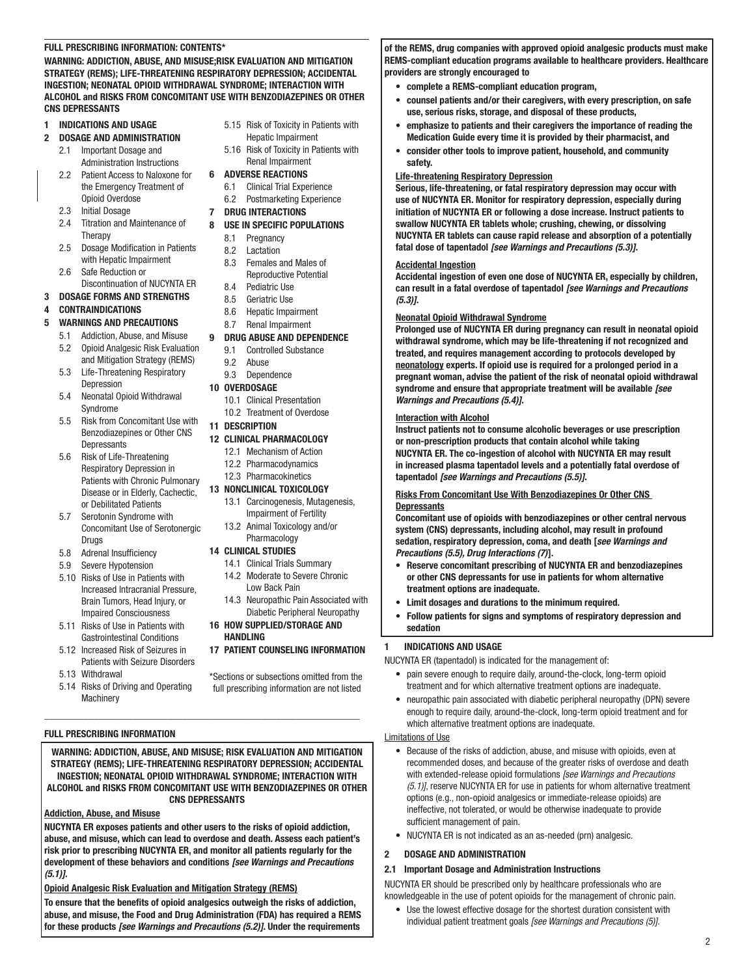### FULL PRESCRIBING INFORMATION: CONTENTS\*

WARNING: ADDICTION, ABUSE, AND MISUSE;RISK EVALUATION AND MITIGATION STRATEGY (REMS); LIFE-THREATENING RESPIRATORY DEPRESSION; ACCIDENTAL INGESTION; NEONATAL OPIOID WITHDRAWAL SYNDROME; INTERACTION WITH ALCOHOL and RISKS FROM CONCOMITANT USE WITH BENZODIAZEPINES OR OTHER CNS DEPRESSANTS

### **1 INDICATIONS AND USAGE**

#### **2 DOSAGE AND ADMINISTRATION**

- 2.1 Important Dosage and Administration Instructions
- 2.2 Patient Access to Naloxone for the Emergency Treatment of Opioid Overdose
- 2.3 Initial Dosage
- 2.4 Titration and Maintenance of Therapy
- 2.5 Dosage Modification in Patients with Hepatic Impairment
- 2.6 Safe Reduction or Discontinuation of NUCYNTA ER
- **3 DOSAGE FORMS AND STRENGTHS**
- **4 CONTRAINDICATIONS**
- **5 WARNINGS AND PRECAUTIONS**
	- 5.1 Addiction, Abuse, and Misuse
	- 5.2 Opioid Analgesic Risk Evaluation and Mitigation Strategy (REMS)
	- 5.3 Life-Threatening Respiratory Depression
	- 5.4 Neonatal Opioid Withdrawal Syndrome
	- 5.5 Risk from Concomitant Use with Benzodiazepines or Other CNS Depressants
	- 5.6 Risk of Life-Threatening Respiratory Depression in Patients with Chronic Pulmonary Disease or in Elderly, Cachectic, or Debilitated Patients
	- 5.7 Serotonin Syndrome with Concomitant Use of Serotonergic Drugs
	- 5.8 Adrenal Insufficiency
	- 5.9 Severe Hypotension
	- 5.10 Risks of Use in Patients with Increased Intracranial Pressure, Brain Tumors, Head Injury, or Impaired Consciousness
	- 5.11 Risks of Use in Patients with Gastrointestinal Conditions
	- 5.12 Increased Risk of Seizures in Patients with Seizure Disorders
	- 5.13 Withdrawal
	- 5.14 Risks of Driving and Operating **Machinery**

#### FULL PRESCRIBING INFORMATION

WARNING: ADDICTION, ABUSE, AND MISUSE; RISK EVALUATION AND MITIGATION STRATEGY (REMS); LIFE-THREATENING RESPIRATORY DEPRESSION; ACCIDENTAL INGESTION; NEONATAL OPIOID WITHDRAWAL SYNDROME; INTERACTION WITH ALCOHOL and RISKS FROM CONCOMITANT USE WITH BENZODIAZEPINES OR OTHER CNS DEPRESSANTS

## **Addiction, Abuse, and Misuse**

**NUCYNTA ER exposes patients and other users to the risks of opioid addiction, abuse, and misuse, which can lead to overdose and death. Assess each patient's risk prior to prescribing NUCYNTA ER, and monitor all patients regularly for the development of these behaviors and conditions** *[see Warnings and Precautions (5.1)]***.**

**Opioid Analgesic Risk Evaluation and Mitigation Strategy (REMS)**

To ensure that the benefits of opioid analgesics outweigh the risks of addiction, abuse, and misuse, the Food and Drug Administration (FDA) has required a REMS for these products *[see Warnings and Precautions (5.2)]*. Under the requirements

- 5.15 Risk of Toxicity in Patients with Hepatic Impairment
- 5.16 Risk of Toxicity in Patients with Renal Impairment
- **6 ADVERSE REACTIONS**
	- 6.1 Clinical Trial Experience
	- 6.2 Postmarketing Experience

## **7 DRUG INTERACTIONS**

## **8 USE IN SPECIFIC POPULATIONS**

- 8.1 Pregnancy
- 8.2 Lactation
- 8.3 Females and Males of Reproductive Potential
- 8.4 Pediatric Use
- 8.5 Geriatric Use
- 8.6 Hepatic Impairment
- 8.7 Renal Impairment
- **9 DRUG ABUSE AND DEPENDENCE**
	- 9.1 Controlled Substance
	- 9.2 Abuse
	- 9.3 Dependence

# **10 OVERDOSAGE**

- 10.1 Clinical Presentation 10.2 Treatment of Overdose
- **11 DESCRIPTION**

## **12 CLINICAL PHARMACOLOGY**

- 12.1 Mechanism of Action
- 12.2 Pharmacodynamics
- 12.3 Pharmacokinetics
- **13 NONCLINICAL TOXICOLOGY**
	- 13.1 Carcinogenesis, Mutagenesis, Impairment of Fertility
	- 13.2 Animal Toxicology and/or Pharmacology
- **14 CLINICAL STUDIES**
	- 14.1 Clinical Trials Summary 14.2 Moderate to Severe Chronic
	- Low Back Pain 14.3 Neuropathic Pain Associated with
- Diabetic Peripheral Neuropathy **16 HOW SUPPLIED/STORAGE AND**

# **17 PATIENT COUNSELING INFORMATION**

\*Sections or subsections omitted from the full prescribing information are not listed

of the REMS, drug companies with approved opioid analgesic products must make REMS-compliant education programs available to healthcare providers. Healthcare providers are strongly encouraged to

- **complete a REMS-compliant education program,**
- **counsel patients and/or their caregivers, with every prescription, on safe use, serious risks, storage, and disposal of these products,**
- **emphasize to patients and their caregivers the importance of reading the Medication Guide every time it is provided by their pharmacist, and**
- **consider other tools to improve patient, household, and community safety.**

#### Life-threatening Respiratory Depression

Serious, life-threatening, or fatal respiratory depression may occur with use of NUCYNTA ER. Monitor for respiratory depression, especially during initiation of NUCYNTA ER or following a dose increase. Instruct patients to swallow NUCYNTA ER tablets whole; crushing, chewing, or dissolving NUCYNTA ER tablets can cause rapid release and absorption of a potentially fatal dose of tapentadol *[see Warnings and Precautions (5.3)]*.

#### Accidental Ingestion

Accidental ingestion of even one dose of NUCYNTA ER, especially by children, can result in a fatal overdose of tapentadol *[see Warnings and Precautions (5.3)]*.

#### Neonatal Opioid Withdrawal Syndrome

Prolonged use of NUCYNTA ER during pregnancy can result in neonatal opioid withdrawal syndrome, which may be life-threatening if not recognized and treated, and requires management according to protocols developed by neonatology experts. If opioid use is required for a prolonged period in a pregnant woman, advise the patient of the risk of neonatal opioid withdrawal syndrome and ensure that appropriate treatment will be available *[see Warnings and Precautions (5.4)]*.

#### Interaction with Alcohol

Instruct patients not to consume alcoholic beverages or use prescription or non-prescription products that contain alcohol while taking NUCYNTA ER. The co-ingestion of alcohol with NUCYNTA ER may result in increased plasma tapentadol levels and a potentially fatal overdose of tapentadol *[see Warnings and Precautions (5.5)]*.

#### Risks From Concomitant Use With Benzodiazepines Or Other CNS **Depressants**

Concomitant use of opioids with benzodiazepines or other central nervous system (CNS) depressants, including alcohol, may result in profound sedation, respiratory depression, coma, and death [*see Warnings and Precautions (5.5), Drug Interactions (7)*].

- **Reserve concomitant prescribing of NUCYNTA ER and benzodiazepines or other CNS depressants for use in patients for whom alternative treatment options are inadequate.**
- **Limit dosages and durations to the minimum required.**
- **Follow patients for signs and symptoms of respiratory depression and sedation**

#### 1 INDICATIONS AND USAGE

NUCYNTA ER (tapentadol) is indicated for the management of:

- pain severe enough to require daily, around-the-clock, long-term opioid treatment and for which alternative treatment options are inadequate.
- neuropathic pain associated with diabetic peripheral neuropathy (DPN) severe enough to require daily, around-the-clock, long-term opioid treatment and for which alternative treatment options are inadequate.

## Limitations of Use

- Because of the risks of addiction, abuse, and misuse with opioids, even at recommended doses, and because of the greater risks of overdose and death with extended-release opioid formulations *[see Warnings and Precautions (5.1)]*, reserve NUCYNTA ER for use in patients for whom alternative treatment options (e.g., non-opioid analgesics or immediate-release opioids) are ineffective, not tolerated, or would be otherwise inadequate to provide sufficient management of pain.
- NUCYNTA ER is not indicated as an as-needed (prn) analgesic.

## 2 DOSAGE AND ADMINISTRATION

#### 2.1 Important Dosage and Administration Instructions

NUCYNTA ER should be prescribed only by healthcare professionals who are knowledgeable in the use of potent opioids for the management of chronic pain.

Use the lowest effective dosage for the shortest duration consistent with individual patient treatment goals *[see Warnings and Precautions (5)]*.

**HANDLING**

\_\_\_\_\_\_\_\_\_\_\_\_\_\_\_\_\_\_\_\_\_\_\_\_\_\_\_\_\_\_\_\_\_\_\_\_\_\_\_\_\_\_\_\_\_\_\_\_\_\_\_\_\_\_\_\_\_\_\_\_\_\_\_\_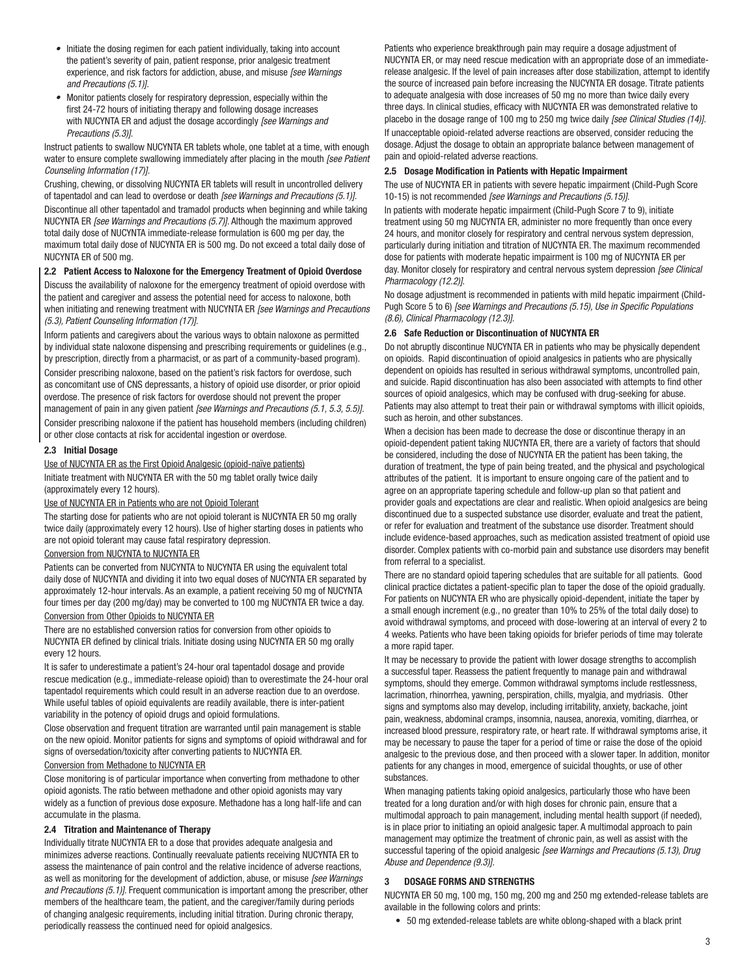- *•* Initiate the dosing regimen for each patient individually, taking into account the patient's severity of pain, patient response, prior analgesic treatment experience, and risk factors for addiction, abuse, and misuse *[see Warnings and Precautions (5.1)].*
- *•* Monitor patients closely for respiratory depression, especially within the first 24-72 hours of initiating therapy and following dosage increases with NUCYNTA ER and adjust the dosage accordingly *[see Warnings and Precautions (5.3)]*.

Instruct patients to swallow NUCYNTA ER tablets whole, one tablet at a time, with enough water to ensure complete swallowing immediately after placing in the mouth *[see Patient Counseling Information (17)]*.

Crushing, chewing, or dissolving NUCYNTA ER tablets will result in uncontrolled delivery of tapentadol and can lead to overdose or death *[see Warnings and Precautions (5.1)]*. Discontinue all other tapentadol and tramadol products when beginning and while taking NUCYNTA ER *[see Warnings and Precautions (5.7)]*. Although the maximum approved total daily dose of NUCYNTA immediate-release formulation is 600 mg per day, the maximum total daily dose of NUCYNTA ER is 500 mg. Do not exceed a total daily dose of NUCYNTA ER of 500 mg.

#### 2.2 Patient Access to Naloxone for the Emergency Treatment of Opioid Overdose

Discuss the availability of naloxone for the emergency treatment of opioid overdose with the patient and caregiver and assess the potential need for access to naloxone, both when initiating and renewing treatment with NUCYNTA ER *[see Warnings and Precautions (5.3), Patient Counseling Information (17)]*.

Inform patients and caregivers about the various ways to obtain naloxone as permitted by individual state naloxone dispensing and prescribing requirements or guidelines (e.g., by prescription, directly from a pharmacist, or as part of a community-based program). Consider prescribing naloxone, based on the patient's risk factors for overdose, such as concomitant use of CNS depressants, a history of opioid use disorder, or prior opioid overdose. The presence of risk factors for overdose should not prevent the proper management of pain in any given patient *[see Warnings and Precautions (5.1, 5.3, 5.5)]*. Consider prescribing naloxone if the patient has household members (including children) or other close contacts at risk for accidental ingestion or overdose.

#### 2.3 Initial Dosage

Use of NUCYNTA ER as the First Opioid Analgesic (opioid-naïve patients) Initiate treatment with NUCYNTA ER with the 50 mg tablet orally twice daily (approximately every 12 hours).

#### Use of NUCYNTA ER in Patients who are not Opioid Tolerant

The starting dose for patients who are not opioid tolerant is NUCYNTA ER 50 mg orally twice daily (approximately every 12 hours). Use of higher starting doses in patients who are not opioid tolerant may cause fatal respiratory depression.

## Conversion from NUCYNTA to NUCYNTA ER

Patients can be converted from NUCYNTA to NUCYNTA ER using the equivalent total daily dose of NUCYNTA and dividing it into two equal doses of NUCYNTA ER separated by approximately 12-hour intervals. As an example, a patient receiving 50 mg of NUCYNTA four times per day (200 mg/day) may be converted to 100 mg NUCYNTA ER twice a day.

## Conversion from Other Opioids to NUCYNTA ER

There are no established conversion ratios for conversion from other opioids to NUCYNTA ER defined by clinical trials. Initiate dosing using NUCYNTA ER 50 mg orally every 12 hours.

It is safer to underestimate a patient's 24-hour oral tapentadol dosage and provide rescue medication (e.g., immediate-release opioid) than to overestimate the 24-hour oral tapentadol requirements which could result in an adverse reaction due to an overdose. While useful tables of opioid equivalents are readily available, there is inter-patient variability in the potency of opioid drugs and opioid formulations.

Close observation and frequent titration are warranted until pain management is stable on the new opioid. Monitor patients for signs and symptoms of opioid withdrawal and for signs of oversedation/toxicity after converting patients to NUCYNTA ER.

#### Conversion from Methadone to NUCYNTA ER

Close monitoring is of particular importance when converting from methadone to other opioid agonists. The ratio between methadone and other opioid agonists may vary widely as a function of previous dose exposure. Methadone has a long half-life and can accumulate in the plasma.

#### 2.4 Titration and Maintenance of Therapy

Individually titrate NUCYNTA ER to a dose that provides adequate analgesia and minimizes adverse reactions. Continually reevaluate patients receiving NUCYNTA ER to assess the maintenance of pain control and the relative incidence of adverse reactions, as well as monitoring for the development of addiction, abuse, or misuse *[see Warnings and Precautions (5.1)]*. Frequent communication is important among the prescriber, other members of the healthcare team, the patient, and the caregiver/family during periods of changing analgesic requirements, including initial titration. During chronic therapy, periodically reassess the continued need for opioid analgesics.

Patients who experience breakthrough pain may require a dosage adjustment of NUCYNTA ER, or may need rescue medication with an appropriate dose of an immediaterelease analgesic. If the level of pain increases after dose stabilization, attempt to identify the source of increased pain before increasing the NUCYNTA ER dosage. Titrate patients to adequate analgesia with dose increases of 50 mg no more than twice daily every three days. In clinical studies, efficacy with NUCYNTA ER was demonstrated relative to placebo in the dosage range of 100 mg to 250 mg twice daily *[see Clinical Studies (14)]*. If unacceptable opioid-related adverse reactions are observed, consider reducing the dosage. Adjust the dosage to obtain an appropriate balance between management of pain and opioid-related adverse reactions.

#### 2.5 Dosage Modification in Patients with Hepatic Impairment

The use of NUCYNTA ER in patients with severe hepatic impairment (Child-Pugh Score 10-15) is not recommended *[see Warnings and Precautions (5.15)]*.

In patients with moderate hepatic impairment (Child-Pugh Score 7 to 9), initiate treatment using 50 mg NUCYNTA ER, administer no more frequently than once every 24 hours, and monitor closely for respiratory and central nervous system depression, particularly during initiation and titration of NUCYNTA ER. The maximum recommended dose for patients with moderate hepatic impairment is 100 mg of NUCYNTA ER per day. Monitor closely for respiratory and central nervous system depression *[see Clinical Pharmacology (12.2)]*.

No dosage adjustment is recommended in patients with mild hepatic impairment (Child-Pugh Score 5 to 6) *[see Warnings and Precautions (5.15), Use in Specific Populations (8.6), Clinical Pharmacology (12.3)]*.

#### 2.6 Safe Reduction or Discontinuation of NUCYNTA ER

Do not abruptly discontinue NUCYNTA ER in patients who may be physically dependent on opioids. Rapid discontinuation of opioid analgesics in patients who are physically dependent on opioids has resulted in serious withdrawal symptoms, uncontrolled pain, and suicide. Rapid discontinuation has also been associated with attempts to find other sources of opioid analgesics, which may be confused with drug-seeking for abuse. Patients may also attempt to treat their pain or withdrawal symptoms with illicit opioids, such as heroin, and other substances.

When a decision has been made to decrease the dose or discontinue therapy in an opioid-dependent patient taking NUCYNTA ER, there are a variety of factors that should be considered, including the dose of NUCYNTA ER the patient has been taking, the duration of treatment, the type of pain being treated, and the physical and psychological attributes of the patient. It is important to ensure ongoing care of the patient and to agree on an appropriate tapering schedule and follow-up plan so that patient and provider goals and expectations are clear and realistic. When opioid analgesics are being discontinued due to a suspected substance use disorder, evaluate and treat the patient, or refer for evaluation and treatment of the substance use disorder. Treatment should include evidence-based approaches, such as medication assisted treatment of opioid use disorder. Complex patients with co-morbid pain and substance use disorders may benefit from referral to a specialist.

There are no standard opioid tapering schedules that are suitable for all patients. Good clinical practice dictates a patient-specific plan to taper the dose of the opioid gradually. For patients on NUCYNTA ER who are physically opioid-dependent, initiate the taper by a small enough increment (e.g., no greater than 10% to 25% of the total daily dose) to avoid withdrawal symptoms, and proceed with dose-lowering at an interval of every 2 to 4 weeks. Patients who have been taking opioids for briefer periods of time may tolerate a more rapid taper.

It may be necessary to provide the patient with lower dosage strengths to accomplish a successful taper. Reassess the patient frequently to manage pain and withdrawal symptoms, should they emerge. Common withdrawal symptoms include restlessness, lacrimation, rhinorrhea, yawning, perspiration, chills, myalgia, and mydriasis. Other signs and symptoms also may develop, including irritability, anxiety, backache, joint pain, weakness, abdominal cramps, insomnia, nausea, anorexia, vomiting, diarrhea, or increased blood pressure, respiratory rate, or heart rate. If withdrawal symptoms arise, it may be necessary to pause the taper for a period of time or raise the dose of the opioid analgesic to the previous dose, and then proceed with a slower taper. In addition, monitor patients for any changes in mood, emergence of suicidal thoughts, or use of other substances.

When managing patients taking opioid analgesics, particularly those who have been treated for a long duration and/or with high doses for chronic pain, ensure that a multimodal approach to pain management, including mental health support (if needed), is in place prior to initiating an opioid analgesic taper. A multimodal approach to pain management may optimize the treatment of chronic pain, as well as assist with the successful tapering of the opioid analgesic *[see Warnings and Precautions (5.13), Drug Abuse and Dependence (9.3)].*

### 3 DOSAGE FORMS AND STRENGTHS

NUCYNTA ER 50 mg, 100 mg, 150 mg, 200 mg and 250 mg extended-release tablets are available in the following colors and prints:

• 50 mg extended-release tablets are white oblong-shaped with a black print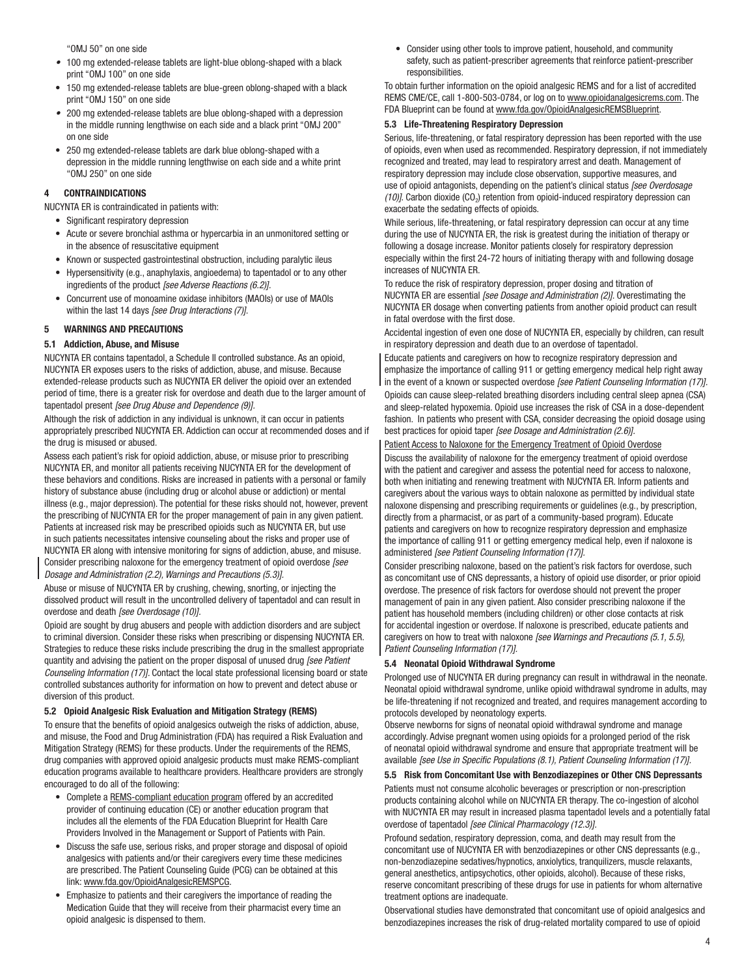"OMJ 50" on one side

- *•* 100 mg extended-release tablets are light-blue oblong-shaped with a black print "OMJ 100" on one side
- 150 mg extended-release tablets are blue-green oblong-shaped with a black print "OMJ 150" on one side
- *•* 200 mg extended-release tablets are blue oblong-shaped with a depression in the middle running lengthwise on each side and a black print "OMJ 200" on one side
- 250 mg extended-release tablets are dark blue oblong-shaped with a depression in the middle running lengthwise on each side and a white print "OMJ 250" on one side

## 4 CONTRAINDICATIONS

NUCYNTA ER is contraindicated in patients with:

- Significant respiratory depression
- Acute or severe bronchial asthma or hypercarbia in an unmonitored setting or in the absence of resuscitative equipment
- Known or suspected gastrointestinal obstruction, including paralytic ileus
- Hypersensitivity (e.g., anaphylaxis, angioedema) to tapentadol or to any other ingredients of the product *[see Adverse Reactions (6.2)].*
- Concurrent use of monoamine oxidase inhibitors (MAOIs) or use of MAOIs within the last 14 days *[see Drug Interactions (7)]*.

## 5 WARNINGS AND PRECAUTIONS

#### 5.1 Addiction, Abuse, and Misuse

NUCYNTA ER contains tapentadol, a Schedule II controlled substance. As an opioid, NUCYNTA ER exposes users to the risks of addiction, abuse, and misuse. Because extended-release products such as NUCYNTA ER deliver the opioid over an extended period of time, there is a greater risk for overdose and death due to the larger amount of tapentadol present *[see Drug Abuse and Dependence (9)].*

Although the risk of addiction in any individual is unknown, it can occur in patients appropriately prescribed NUCYNTA ER. Addiction can occur at recommended doses and if the drug is misused or abused.

Assess each patient's risk for opioid addiction, abuse, or misuse prior to prescribing NUCYNTA ER, and monitor all patients receiving NUCYNTA ER for the development of these behaviors and conditions. Risks are increased in patients with a personal or family history of substance abuse (including drug or alcohol abuse or addiction) or mental illness (e.g., major depression). The potential for these risks should not, however, prevent the prescribing of NUCYNTA ER for the proper management of pain in any given patient. Patients at increased risk may be prescribed opioids such as NUCYNTA ER, but use in such patients necessitates intensive counseling about the risks and proper use of NUCYNTA ER along with intensive monitoring for signs of addiction, abuse, and misuse. Consider prescribing naloxone for the emergency treatment of opioid overdose *[see* 

*Dosage and Administration (2.2), Warnings and Precautions (5.3)].*

Abuse or misuse of NUCYNTA ER by crushing, chewing, snorting, or injecting the dissolved product will result in the uncontrolled delivery of tapentadol and can result in overdose and death *[see Overdosage (10)].*

Opioid are sought by drug abusers and people with addiction disorders and are subject to criminal diversion. Consider these risks when prescribing or dispensing NUCYNTA ER. Strategies to reduce these risks include prescribing the drug in the smallest appropriate quantity and advising the patient on the proper disposal of unused drug *[see Patient Counseling Information (17)].* Contact the local state professional licensing board or state controlled substances authority for information on how to prevent and detect abuse or diversion of this product.

#### 5.2 Opioid Analgesic Risk Evaluation and Mitigation Strategy (REMS)

To ensure that the benefits of opioid analgesics outweigh the risks of addiction, abuse, and misuse, the Food and Drug Administration (FDA) has required a Risk Evaluation and Mitigation Strategy (REMS) for these products. Under the requirements of the REMS, drug companies with approved opioid analgesic products must make REMS-compliant education programs available to healthcare providers. Healthcare providers are strongly encouraged to do all of the following:

- Complete a REMS-compliant education program offered by an accredited provider of continuing education (CE) or another education program that includes all the elements of the FDA Education Blueprint for Health Care Providers Involved in the Management or Support of Patients with Pain.
- Discuss the safe use, serious risks, and proper storage and disposal of opioid analgesics with patients and/or their caregivers every time these medicines are prescribed. The Patient Counseling Guide (PCG) can be obtained at this link: [www.fda.gov/OpioidAnalgesicREMSPCG](http://www.fda.gov/OpioidAnalgesicREMSPCG).
- Emphasize to patients and their caregivers the importance of reading the Medication Guide that they will receive from their pharmacist every time an opioid analgesic is dispensed to them.

• Consider using other tools to improve patient, household, and community safety, such as patient-prescriber agreements that reinforce patient-prescriber responsibilities.

To obtain further information on the opioid analgesic REMS and for a list of accredited REMS CME/CE, call 1-800-503-0784, or log on to [www.opioidanalgesicrems.com.](http://www.opioidanalgesicrems.com) The FDA Blueprint can be found at [www.fda.gov/OpioidAnalgesicREMSBlueprint.](http://www.fda.gov/OpioidAnalgesicREMSBlueprint)

#### 5.3 Life-Threatening Respiratory Depression

Serious, life-threatening, or fatal respiratory depression has been reported with the use of opioids, even when used as recommended. Respiratory depression, if not immediately recognized and treated, may lead to respiratory arrest and death. Management of respiratory depression may include close observation, supportive measures, and use of opioid antagonists, depending on the patient's clinical status *[see Overdosage (10)]*. Carbon dioxide (CO<sub>2</sub>) retention from opioid-induced respiratory depression can exacerbate the sedating effects of opioids.

While serious, life-threatening, or fatal respiratory depression can occur at any time during the use of NUCYNTA ER, the risk is greatest during the initiation of therapy or following a dosage increase. Monitor patients closely for respiratory depression especially within the first 24-72 hours of initiating therapy with and following dosage increases of NUCYNTA ER.

To reduce the risk of respiratory depression, proper dosing and titration of NUCYNTA ER are essential *[see Dosage and Administration (2)]*. Overestimating the NUCYNTA ER dosage when converting patients from another opioid product can result in fatal overdose with the first dose.

Accidental ingestion of even one dose of NUCYNTA ER, especially by children, can result in respiratory depression and death due to an overdose of tapentadol.

Educate patients and caregivers on how to recognize respiratory depression and emphasize the importance of calling 911 or getting emergency medical help right away in the event of a known or suspected overdose *[see Patient Counseling Information (17)].* Opioids can cause sleep-related breathing disorders including central sleep apnea (CSA) and sleep-related hypoxemia. Opioid use increases the risk of CSA in a dose-dependent fashion. In patients who present with CSA, consider decreasing the opioid dosage using best practices for opioid taper *[see Dosage and Administration (2.6)].*

Patient Access to Naloxone for the Emergency Treatment of Opioid Overdose Discuss the availability of naloxone for the emergency treatment of opioid overdose with the patient and caregiver and assess the potential need for access to naloxone, both when initiating and renewing treatment with NUCYNTA ER. Inform patients and caregivers about the various ways to obtain naloxone as permitted by individual state naloxone dispensing and prescribing requirements or guidelines (e.g., by prescription, directly from a pharmacist, or as part of a community-based program). Educate patients and caregivers on how to recognize respiratory depression and emphasize the importance of calling 911 or getting emergency medical help, even if naloxone is administered *[see Patient Counseling Information (17)].*

Consider prescribing naloxone, based on the patient's risk factors for overdose, such as concomitant use of CNS depressants, a history of opioid use disorder, or prior opioid overdose. The presence of risk factors for overdose should not prevent the proper management of pain in any given patient. Also consider prescribing naloxone if the patient has household members (including children) or other close contacts at risk for accidental ingestion or overdose. If naloxone is prescribed, educate patients and caregivers on how to treat with naloxone *[see Warnings and Precautions (5.1, 5.5), Patient Counseling Information (17)].*

#### 5.4 Neonatal Opioid Withdrawal Syndrome

Prolonged use of NUCYNTA ER during pregnancy can result in withdrawal in the neonate. Neonatal opioid withdrawal syndrome, unlike opioid withdrawal syndrome in adults, may be life-threatening if not recognized and treated, and requires management according to protocols developed by neonatology experts.

Observe newborns for signs of neonatal opioid withdrawal syndrome and manage accordingly. Advise pregnant women using opioids for a prolonged period of the risk of neonatal opioid withdrawal syndrome and ensure that appropriate treatment will be available *[see Use in Specific Populations (8.1), Patient Counseling Information (17)].*

### 5.5 Risk from Concomitant Use with Benzodiazepines or Other CNS Depressants

Patients must not consume alcoholic beverages or prescription or non-prescription products containing alcohol while on NUCYNTA ER therapy. The co-ingestion of alcohol with NUCYNTA ER may result in increased plasma tapentadol levels and a potentially fatal overdose of tapentadol *[see Clinical Pharmacology (12.3)].*

Profound sedation, respiratory depression, coma, and death may result from the concomitant use of NUCYNTA ER with benzodiazepines or other CNS depressants (e.g., non-benzodiazepine sedatives/hypnotics, anxiolytics, tranquilizers, muscle relaxants, general anesthetics, antipsychotics, other opioids, alcohol). Because of these risks, reserve concomitant prescribing of these drugs for use in patients for whom alternative treatment options are inadequate.

Observational studies have demonstrated that concomitant use of opioid analgesics and benzodiazepines increases the risk of drug-related mortality compared to use of opioid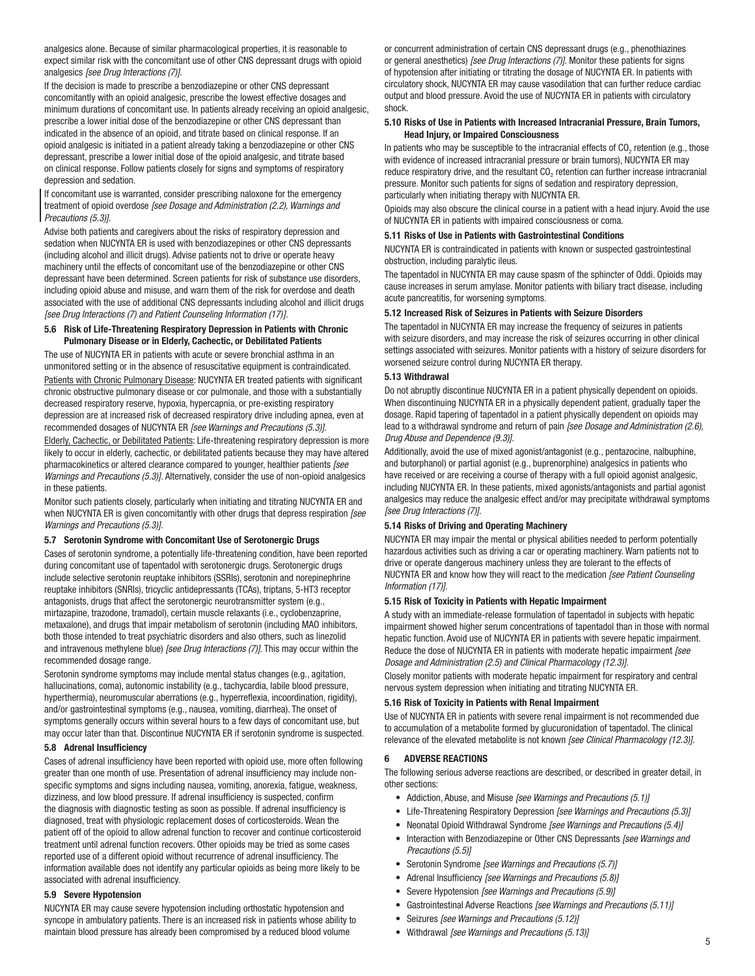analgesics alone. Because of similar pharmacological properties, it is reasonable to expect similar risk with the concomitant use of other CNS depressant drugs with opioid analgesics *[see Drug Interactions (7)].*

If the decision is made to prescribe a benzodiazepine or other CNS depressant concomitantly with an opioid analgesic, prescribe the lowest effective dosages and minimum durations of concomitant use. In patients already receiving an opioid analgesic, prescribe a lower initial dose of the benzodiazepine or other CNS depressant than indicated in the absence of an opioid, and titrate based on clinical response. If an opioid analgesic is initiated in a patient already taking a benzodiazepine or other CNS depressant, prescribe a lower initial dose of the opioid analgesic, and titrate based on clinical response. Follow patients closely for signs and symptoms of respiratory depression and sedation.

If concomitant use is warranted, consider prescribing naloxone for the emergency treatment of opioid overdose *[see Dosage and Administration (2.2), Warnings and Precautions (5.3)].*

Advise both patients and caregivers about the risks of respiratory depression and sedation when NUCYNTA ER is used with benzodiazepines or other CNS depressants (including alcohol and illicit drugs). Advise patients not to drive or operate heavy machinery until the effects of concomitant use of the benzodiazepine or other CNS depressant have been determined. Screen patients for risk of substance use disorders, including opioid abuse and misuse, and warn them of the risk for overdose and death associated with the use of additional CNS depressants including alcohol and illicit drugs *[see Drug Interactions (7) and Patient Counseling Information (17)].*

#### 5.6 Risk of Life-Threatening Respiratory Depression in Patients with Chronic Pulmonary Disease or in Elderly, Cachectic, or Debilitated Patients

The use of NUCYNTA ER in patients with acute or severe bronchial asthma in an unmonitored setting or in the absence of resuscitative equipment is contraindicated. Patients with Chronic Pulmonary Disease: NUCYNTA ER treated patients with significant chronic obstructive pulmonary disease or cor pulmonale, and those with a substantially decreased respiratory reserve, hypoxia, hypercapnia, or pre-existing respiratory depression are at increased risk of decreased respiratory drive including apnea, even at recommended dosages of NUCYNTA ER *[see Warnings and Precautions (5.3)].*

Elderly, Cachectic, or Debilitated Patients: Life-threatening respiratory depression is more likely to occur in elderly, cachectic, or debilitated patients because they may have altered pharmacokinetics or altered clearance compared to younger, healthier patients *[see Warnings and Precautions (5.3)].* Alternatively, consider the use of non-opioid analgesics in these patients.

Monitor such patients closely, particularly when initiating and titrating NUCYNTA ER and when NUCYNTA ER is given concomitantly with other drugs that depress respiration *[see Warnings and Precautions (5.3)].*

#### 5.7 Serotonin Syndrome with Concomitant Use of Serotonergic Drugs

Cases of serotonin syndrome, a potentially life-threatening condition, have been reported during concomitant use of tapentadol with serotonergic drugs. Serotonergic drugs include selective serotonin reuptake inhibitors (SSRIs), serotonin and norepinephrine reuptake inhibitors (SNRIs), tricyclic antidepressants (TCAs), triptans, 5-HT3 receptor antagonists, drugs that affect the serotonergic neurotransmitter system (e.g., mirtazapine, trazodone, tramadol), certain muscle relaxants (i.e., cyclobenzaprine, metaxalone), and drugs that impair metabolism of serotonin (including MAO inhibitors, both those intended to treat psychiatric disorders and also others, such as linezolid and intravenous methylene blue) *[see Drug Interactions (7)]*. This may occur within the recommended dosage range.

Serotonin syndrome symptoms may include mental status changes (e.g., agitation, hallucinations, coma), autonomic instability (e.g., tachycardia, labile blood pressure, hyperthermia), neuromuscular aberrations (e.g., hyperreflexia, incoordination, rigidity), and/or gastrointestinal symptoms (e.g., nausea, vomiting, diarrhea). The onset of symptoms generally occurs within several hours to a few days of concomitant use, but may occur later than that. Discontinue NUCYNTA ER if serotonin syndrome is suspected.

#### 5.8 Adrenal Insufficiency

Cases of adrenal insufficiency have been reported with opioid use, more often following greater than one month of use. Presentation of adrenal insufficiency may include nonspecific symptoms and signs including nausea, vomiting, anorexia, fatigue, weakness, dizziness, and low blood pressure. If adrenal insufficiency is suspected, confirm the diagnosis with diagnostic testing as soon as possible. If adrenal insufficiency is diagnosed, treat with physiologic replacement doses of corticosteroids. Wean the patient off of the opioid to allow adrenal function to recover and continue corticosteroid treatment until adrenal function recovers. Other opioids may be tried as some cases reported use of a different opioid without recurrence of adrenal insufficiency. The information available does not identify any particular opioids as being more likely to be associated with adrenal insufficiency.

#### 5.9 Severe Hypotension

NUCYNTA ER may cause severe hypotension including orthostatic hypotension and syncope in ambulatory patients. There is an increased risk in patients whose ability to maintain blood pressure has already been compromised by a reduced blood volume

or concurrent administration of certain CNS depressant drugs (e.g., phenothiazines or general anesthetics) *[see Drug Interactions (7)]*. Monitor these patients for signs of hypotension after initiating or titrating the dosage of NUCYNTA ER. In patients with circulatory shock, NUCYNTA ER may cause vasodilation that can further reduce cardiac output and blood pressure. Avoid the use of NUCYNTA ER in patients with circulatory shock.

#### 5.10 Risks of Use in Patients with Increased Intracranial Pressure, Brain Tumors, Head Injury, or Impaired Consciousness

In patients who may be susceptible to the intracranial effects of  $CO<sub>2</sub>$  retention (e.g., those with evidence of increased intracranial pressure or brain tumors), NUCYNTA ER may reduce respiratory drive, and the resultant  $CO<sub>2</sub>$  retention can further increase intracranial pressure. Monitor such patients for signs of sedation and respiratory depression, particularly when initiating therapy with NUCYNTA ER.

Opioids may also obscure the clinical course in a patient with a head injury. Avoid the use of NUCYNTA ER in patients with impaired consciousness or coma.

#### 5.11 Risks of Use in Patients with Gastrointestinal Conditions

NUCYNTA ER is contraindicated in patients with known or suspected gastrointestinal obstruction, including paralytic ileus.

The tapentadol in NUCYNTA ER may cause spasm of the sphincter of Oddi. Opioids may cause increases in serum amylase. Monitor patients with biliary tract disease, including acute pancreatitis, for worsening symptoms.

#### 5.12 Increased Risk of Seizures in Patients with Seizure Disorders

The tapentadol in NUCYNTA ER may increase the frequency of seizures in patients with seizure disorders, and may increase the risk of seizures occurring in other clinical settings associated with seizures. Monitor patients with a history of seizure disorders for worsened seizure control during NUCYNTA ER therapy.

#### 5.13 Withdrawal

Do not abruptly discontinue NUCYNTA ER in a patient physically dependent on opioids. When discontinuing NUCYNTA ER in a physically dependent patient, gradually taper the dosage. Rapid tapering of tapentadol in a patient physically dependent on opioids may lead to a withdrawal syndrome and return of pain *[see Dosage and Administration (2.6), Drug Abuse and Dependence (9.3)].*

Additionally, avoid the use of mixed agonist/antagonist (e.g., pentazocine, nalbuphine, and butorphanol) or partial agonist (e.g., buprenorphine) analgesics in patients who have received or are receiving a course of therapy with a full opioid agonist analgesic, including NUCYNTA ER. In these patients, mixed agonists/antagonists and partial agonist analgesics may reduce the analgesic effect and/or may precipitate withdrawal symptoms *[see Drug Interactions (7)]*.

#### 5.14 Risks of Driving and Operating Machinery

NUCYNTA ER may impair the mental or physical abilities needed to perform potentially hazardous activities such as driving a car or operating machinery. Warn patients not to drive or operate dangerous machinery unless they are tolerant to the effects of NUCYNTA ER and know how they will react to the medication *[see Patient Counseling Information (17)].*

#### 5.15 Risk of Toxicity in Patients with Hepatic Impairment

A study with an immediate-release formulation of tapentadol in subjects with hepatic impairment showed higher serum concentrations of tapentadol than in those with normal hepatic function. Avoid use of NUCYNTA ER in patients with severe hepatic impairment. Reduce the dose of NUCYNTA ER in patients with moderate hepatic impairment *[see Dosage and Administration (2.5) and Clinical Pharmacology (12.3)].*

Closely monitor patients with moderate hepatic impairment for respiratory and central nervous system depression when initiating and titrating NUCYNTA ER.

#### 5.16 Risk of Toxicity in Patients with Renal Impairment

Use of NUCYNTA ER in patients with severe renal impairment is not recommended due to accumulation of a metabolite formed by glucuronidation of tapentadol. The clinical relevance of the elevated metabolite is not known *[see Clinical Pharmacology (12.3)].*

## 6 ADVERSE REACTIONS

The following serious adverse reactions are described, or described in greater detail, in other sections:

- Addiction, Abuse, and Misuse *[see Warnings and Precautions (5.1)]*
- Life-Threatening Respiratory Depression *[see Warnings and Precautions (5.3)]*
- Neonatal Opioid Withdrawal Syndrome *[see Warnings and Precautions (5.4)]*
- Interaction with Benzodiazepine or Other CNS Depressants *[see Warnings and Precautions (5.5)]*
- Serotonin Syndrome *[see Warnings and Precautions (5.7)]*
- Adrenal Insufficiency *[see Warnings and Precautions (5.8)]*
- Severe Hypotension *[see Warnings and Precautions (5.9)]*
- Gastrointestinal Adverse Reactions *[see Warnings and Precautions (5.11)]*
- Seizures *[see Warnings and Precautions (5.12)]*
- Withdrawal *[see Warnings and Precautions (5.13)]*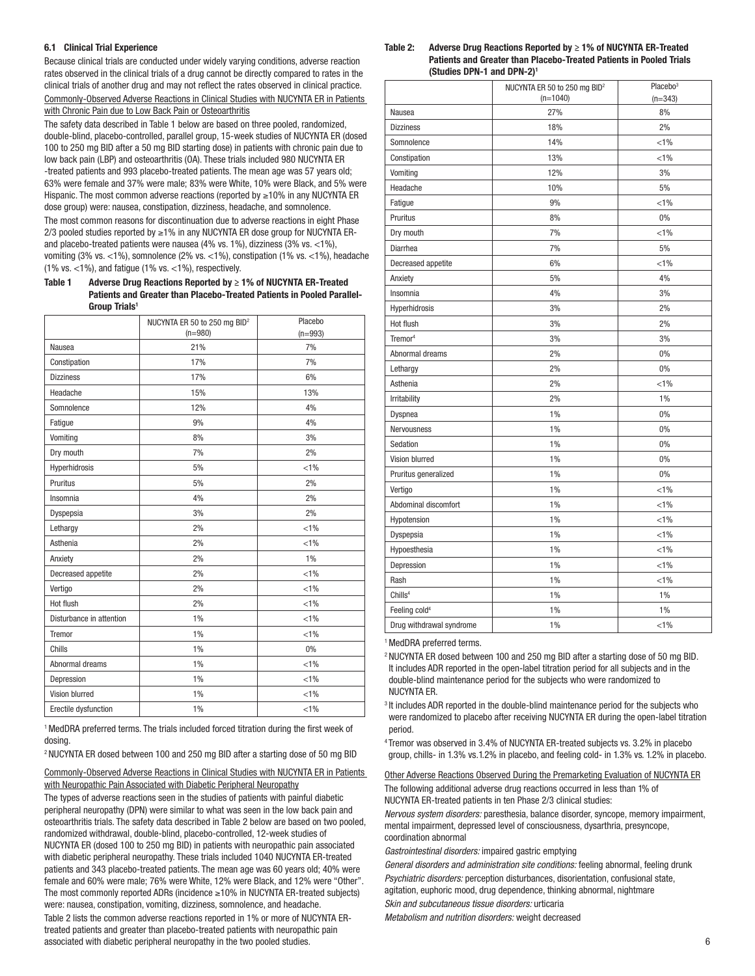#### 6.1 Clinical Trial Experience

Because clinical trials are conducted under widely varying conditions, adverse reaction rates observed in the clinical trials of a drug cannot be directly compared to rates in the clinical trials of another drug and may not reflect the rates observed in clinical practice. Commonly-Observed Adverse Reactions in Clinical Studies with NUCYNTA ER in Patients with Chronic Pain due to Low Back Pain or Osteoarthritis

The safety data described in Table 1 below are based on three pooled, randomized, double-blind, placebo-controlled, parallel group, 15-week studies of NUCYNTA ER (dosed 100 to 250 mg BID after a 50 mg BID starting dose) in patients with chronic pain due to low back pain (LBP) and osteoarthritis (OA). These trials included 980 NUCYNTA ER -treated patients and 993 placebo-treated patients. The mean age was 57 years old; 63% were female and 37% were male; 83% were White, 10% were Black, and 5% were Hispanic. The most common adverse reactions (reported by ≥10% in any NUCYNTA ER dose group) were: nausea, constipation, dizziness, headache, and somnolence. The most common reasons for discontinuation due to adverse reactions in eight Phase 2/3 pooled studies reported by ≥1% in any NUCYNTA ER dose group for NUCYNTA ERand placebo-treated patients were nausea (4% vs. 1%), dizziness (3% vs. <1%), vomiting (3% vs. <1%), somnolence (2% vs. <1%), constipation (1% vs. <1%), headache (1% vs. <1%), and fatigue (1% vs. <1%), respectively.

#### Table 1 Adverse Drug Reactions Reported by ≥ 1% of NUCYNTA ER-Treated Patients and Greater than Placebo-Treated Patients in Pooled Parallel-Group Trials<sup>1</sup>

|                          | NUCYNTA ER 50 to 250 mg BID <sup>2</sup> | Placebo   |
|--------------------------|------------------------------------------|-----------|
|                          | $(n=980)$                                | $(n=993)$ |
| Nausea                   | 21%                                      | 7%        |
| Constipation             | 17%                                      | 7%        |
| <b>Dizziness</b>         | 17%                                      | 6%        |
| Headache                 | 15%                                      | 13%       |
| Somnolence               | 12%                                      | 4%        |
| Fatigue                  | 9%                                       | 4%        |
| Vomiting                 | 8%                                       | 3%        |
| Dry mouth                | 7%                                       | 2%        |
| Hyperhidrosis            | 5%                                       | $< 1\%$   |
| Pruritus                 | 5%                                       | 2%        |
| Insomnia                 | 4%                                       | 2%        |
| Dyspepsia                | 3%                                       | 2%        |
| Lethargy                 | 2%                                       | $< 1\%$   |
| Asthenia                 | 2%                                       | $< 1\%$   |
| Anxiety                  | 2%                                       | $1\%$     |
| Decreased appetite       | 2%                                       | $< 1\%$   |
| Vertigo                  | 2%                                       | $< 1\%$   |
| Hot flush                | 2%                                       | $< 1\%$   |
| Disturbance in attention | $1\%$                                    | $< 1\%$   |
| Tremor                   | $1\%$                                    | $< 1\%$   |
| Chills                   | $1\%$                                    | $0\%$     |
| Abnormal dreams          | $1\%$                                    | $< 1\%$   |
| Depression               | $1\%$                                    | $< 1\%$   |
| Vision blurred           | $1\%$                                    | $< 1\%$   |
| Erectile dysfunction     | 1%                                       | $< 1\%$   |

<sup>1</sup> MedDRA preferred terms. The trials included forced titration during the first week of dosing.

<sup>2</sup> NUCYNTA ER dosed between 100 and 250 mg BID after a starting dose of 50 mg BID

Commonly-Observed Adverse Reactions in Clinical Studies with NUCYNTA ER in Patients with Neuropathic Pain Associated with Diabetic Peripheral Neuropathy

The types of adverse reactions seen in the studies of patients with painful diabetic peripheral neuropathy (DPN) were similar to what was seen in the low back pain and osteoarthritis trials. The safety data described in Table 2 below are based on two pooled, randomized withdrawal, double-blind, placebo-controlled, 12-week studies of NUCYNTA ER (dosed 100 to 250 mg BID) in patients with neuropathic pain associated with diabetic peripheral neuropathy. These trials included 1040 NUCYNTA ER-treated patients and 343 placebo-treated patients. The mean age was 60 years old; 40% were female and 60% were male; 76% were White, 12% were Black, and 12% were "Other". The most commonly reported ADRs (incidence ≥10% in NUCYNTA ER-treated subjects) were: nausea, constipation, vomiting, dizziness, somnolence, and headache. Table 2 lists the common adverse reactions reported in 1% or more of NUCYNTA ERtreated patients and greater than placebo-treated patients with neuropathic pain associated with diabetic peripheral neuropathy in the two pooled studies.

#### Table 2: Adverse Drug Reactions Reported by  $\geq 1\%$  of NUCYNTA ER-Treated Patients and Greater than Placebo-Treated Patients in Pooled Trials (Studies DPN-1 and DPN-2)1

|                           | NUCYNTA ER 50 to 250 mg BID <sup>2</sup><br>$(n=1040)$ | Placebo <sup>3</sup><br>$(n=343)$ |
|---------------------------|--------------------------------------------------------|-----------------------------------|
| Nausea                    | 27%                                                    | 8%                                |
| <b>Dizziness</b>          | 18%                                                    | 2%                                |
| Somnolence                | 14%                                                    | $< 1\%$                           |
| Constipation              | 13%                                                    | $< 1\%$                           |
| Vomiting                  | 12%                                                    | 3%                                |
| Headache                  | 10%                                                    | 5%                                |
| Fatigue                   | 9%                                                     | $< 1\%$                           |
| Pruritus                  | 8%                                                     | 0%                                |
| Dry mouth                 | 7%                                                     | $< 1\%$                           |
| Diarrhea                  | 7%                                                     | 5%                                |
| Decreased appetite        | 6%                                                     | $< 1\%$                           |
| Anxiety                   | 5%                                                     | 4%                                |
| Insomnia                  | 4%                                                     | 3%                                |
| Hyperhidrosis             | 3%                                                     | 2%                                |
| Hot flush                 | 3%                                                     | 2%                                |
| Tremor <sup>4</sup>       | 3%                                                     | 3%                                |
| Abnormal dreams           | 2%                                                     | 0%                                |
| Lethargy                  | 2%                                                     | 0%                                |
| Asthenia                  | 2%                                                     | $< 1\%$                           |
| Irritability              | 2%                                                     | $1\%$                             |
| Dyspnea                   | $1\%$                                                  | 0%                                |
| Nervousness               | $1\%$                                                  | 0%                                |
| Sedation                  | $1\%$                                                  | 0%                                |
| Vision blurred            | $1\%$                                                  | 0%                                |
| Pruritus generalized      | $1\%$                                                  | 0%                                |
| Vertigo                   | $1\%$                                                  | $< 1\%$                           |
| Abdominal discomfort      | $1\%$                                                  | $< 1\%$                           |
| Hypotension               | $1\%$                                                  | $< 1\%$                           |
| Dyspepsia                 | 1%                                                     | $< 1\%$                           |
| Hypoesthesia              | 1%                                                     | $< 1\%$                           |
| Depression                | 1%                                                     | $< 1\%$                           |
| Rash                      | $1\%$                                                  | $< 1\%$                           |
| Chills <sup>4</sup>       | $1\%$                                                  | 1%                                |
| Feeling cold <sup>4</sup> | $1\%$                                                  | 1%                                |
| Drug withdrawal syndrome  | $1\%$                                                  | $< 1\%$                           |

#### 1 MedDRA preferred terms.

<sup>2</sup> NUCYNTA ER dosed between 100 and 250 mg BID after a starting dose of 50 mg BID. It includes ADR reported in the open-label titration period for all subjects and in the double-blind maintenance period for the subjects who were randomized to NUCYNTA ER.

<sup>3</sup> It includes ADR reported in the double-blind maintenance period for the subjects who were randomized to placebo after receiving NUCYNTA ER during the open-label titration period.

4 Tremor was observed in 3.4% of NUCYNTA ER-treated subjects vs. 3.2% in placebo group, chills- in 1.3% vs.1.2% in placebo, and feeling cold- in 1.3% vs. 1.2% in placebo.

Other Adverse Reactions Observed During the Premarketing Evaluation of NUCYNTA ER The following additional adverse drug reactions occurred in less than 1% of NUCYNTA ER-treated patients in ten Phase 2/3 clinical studies:

*Nervous system disorders:* paresthesia, balance disorder, syncope, memory impairment, mental impairment, depressed level of consciousness, dysarthria, presyncope, coordination abnormal

*Gastrointestinal disorders:* impaired gastric emptying

*General disorders and administration site conditions:* feeling abnormal, feeling drunk *Psychiatric disorders:* perception disturbances, disorientation, confusional state, agitation, euphoric mood, drug dependence, thinking abnormal, nightmare

*Skin and subcutaneous tissue disorders:* urticaria

*Metabolism and nutrition disorders:* weight decreased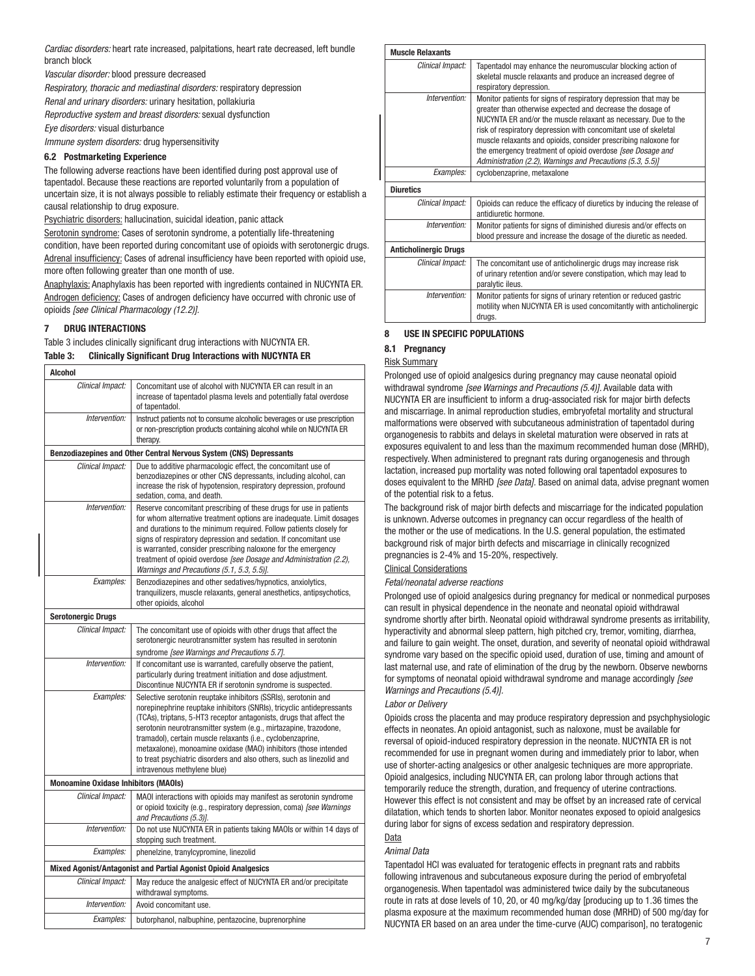*Cardiac disorders:* heart rate increased, palpitations, heart rate decreased, left bundle branch block

*Vascular disorder:* blood pressure decreased

*Respiratory, thoracic and mediastinal disorders:* respiratory depression

*Renal and urinary disorders:* urinary hesitation, pollakiuria

*Reproductive system and breast disorders:* sexual dysfunction

*Eye disorders:* visual disturbance

*Immune system disorders:* drug hypersensitivity

## 6.2 Postmarketing Experience

The following adverse reactions have been identified during post approval use of tapentadol. Because these reactions are reported voluntarily from a population of uncertain size, it is not always possible to reliably estimate their frequency or establish a causal relationship to drug exposure.

Psychiatric disorders: hallucination, suicidal ideation, panic attack

Serotonin syndrome: Cases of serotonin syndrome, a potentially life-threatening condition, have been reported during concomitant use of opioids with serotonergic drugs. Adrenal insufficiency: Cases of adrenal insufficiency have been reported with opioid use, more often following greater than one month of use.

Anaphylaxis: Anaphylaxis has been reported with ingredients contained in NUCYNTA ER. Androgen deficiency: Cases of androgen deficiency have occurred with chronic use of opioids *[see Clinical Pharmacology (12.2)].*

#### 7 DRUG INTERACTIONS

Table 3 includes clinically significant drug interactions with NUCYNTA ER.

Table 3: Clinically Significant Drug Interactions with NUCYNTA ER

| Alcohol                                                            |                                                                                                                                                                                                                                                                                                                                                                                                                                                                                                                              |  |  |  |
|--------------------------------------------------------------------|------------------------------------------------------------------------------------------------------------------------------------------------------------------------------------------------------------------------------------------------------------------------------------------------------------------------------------------------------------------------------------------------------------------------------------------------------------------------------------------------------------------------------|--|--|--|
| Clinical Impact:                                                   | Concomitant use of alcohol with NUCYNTA ER can result in an<br>increase of tapentadol plasma levels and potentially fatal overdose<br>of tapentadol.                                                                                                                                                                                                                                                                                                                                                                         |  |  |  |
| Intervention:                                                      | Instruct patients not to consume alcoholic beverages or use prescription<br>or non-prescription products containing alcohol while on NUCYNTA ER<br>therapy.                                                                                                                                                                                                                                                                                                                                                                  |  |  |  |
| Benzodiazepines and Other Central Nervous System (CNS) Depressants |                                                                                                                                                                                                                                                                                                                                                                                                                                                                                                                              |  |  |  |
| Clinical Impact:                                                   | Due to additive pharmacologic effect, the concomitant use of<br>benzodiazepines or other CNS depressants, including alcohol, can<br>increase the risk of hypotension, respiratory depression, profound<br>sedation, coma, and death.                                                                                                                                                                                                                                                                                         |  |  |  |
| Intervention:                                                      | Reserve concomitant prescribing of these drugs for use in patients<br>for whom alternative treatment options are inadequate. Limit dosages<br>and durations to the minimum required. Follow patients closely for<br>signs of respiratory depression and sedation. If concomitant use<br>is warranted, consider prescribing naloxone for the emergency<br>treatment of opioid overdose [see Dosage and Administration (2.2),<br>Warnings and Precautions (5.1, 5.3, 5.5)].                                                    |  |  |  |
| Examples:                                                          | Benzodiazepines and other sedatives/hypnotics, anxiolytics,<br>tranquilizers, muscle relaxants, general anesthetics, antipsychotics,<br>other opioids, alcohol                                                                                                                                                                                                                                                                                                                                                               |  |  |  |
| <b>Serotonergic Drugs</b>                                          |                                                                                                                                                                                                                                                                                                                                                                                                                                                                                                                              |  |  |  |
| Clinical Impact:                                                   | The concomitant use of opioids with other drugs that affect the<br>serotonergic neurotransmitter system has resulted in serotonin<br>syndrome [see Warnings and Precautions 5.7].                                                                                                                                                                                                                                                                                                                                            |  |  |  |
| Intervention:                                                      | If concomitant use is warranted, carefully observe the patient,<br>particularly during treatment initiation and dose adjustment.<br>Discontinue NUCYNTA ER if serotonin syndrome is suspected.                                                                                                                                                                                                                                                                                                                               |  |  |  |
| Examples:                                                          | Selective serotonin reuptake inhibitors (SSRIs), serotonin and<br>norepinephrine reuptake inhibitors (SNRIs), tricyclic antidepressants<br>(TCAs), triptans, 5-HT3 receptor antagonists, drugs that affect the<br>serotonin neurotransmitter system (e.g., mirtazapine, trazodone,<br>tramadol), certain muscle relaxants (i.e., cyclobenzaprine,<br>metaxalone), monoamine oxidase (MAO) inhibitors (those intended<br>to treat psychiatric disorders and also others, such as linezolid and<br>intravenous methylene blue) |  |  |  |
|                                                                    | <b>Monoamine Oxidase Inhibitors (MAOIs)</b>                                                                                                                                                                                                                                                                                                                                                                                                                                                                                  |  |  |  |
| Clinical Impact:                                                   | MAOI interactions with opioids may manifest as serotonin syndrome<br>or opioid toxicity (e.g., respiratory depression, coma) [see Warnings]<br>and Precautions (5.3)].                                                                                                                                                                                                                                                                                                                                                       |  |  |  |
| Intervention:                                                      | Do not use NUCYNTA ER in patients taking MAOIs or within 14 days of<br>stopping such treatment.                                                                                                                                                                                                                                                                                                                                                                                                                              |  |  |  |
| Examples:                                                          | phenelzine, tranylcypromine, linezolid                                                                                                                                                                                                                                                                                                                                                                                                                                                                                       |  |  |  |
|                                                                    | Mixed Agonist/Antagonist and Partial Agonist Opioid Analgesics                                                                                                                                                                                                                                                                                                                                                                                                                                                               |  |  |  |
| Clinical Impact:                                                   | May reduce the analgesic effect of NUCYNTA ER and/or precipitate<br>withdrawal symptoms.                                                                                                                                                                                                                                                                                                                                                                                                                                     |  |  |  |
| Intervention:                                                      | Avoid concomitant use.                                                                                                                                                                                                                                                                                                                                                                                                                                                                                                       |  |  |  |
| Examples:                                                          | butorphanol, nalbuphine, pentazocine, buprenorphine                                                                                                                                                                                                                                                                                                                                                                                                                                                                          |  |  |  |

| <b>Muscle Relaxants</b>      |                                                                                                                                                                                                                                                                                                                                                                                                                                                                           |  |  |
|------------------------------|---------------------------------------------------------------------------------------------------------------------------------------------------------------------------------------------------------------------------------------------------------------------------------------------------------------------------------------------------------------------------------------------------------------------------------------------------------------------------|--|--|
| Clinical Impact:             | Tapentadol may enhance the neuromuscular blocking action of<br>skeletal muscle relaxants and produce an increased degree of<br>respiratory depression.                                                                                                                                                                                                                                                                                                                    |  |  |
| Intervention <sup>.</sup>    | Monitor patients for signs of respiratory depression that may be<br>greater than otherwise expected and decrease the dosage of<br>NUCYNTA ER and/or the muscle relaxant as necessary. Due to the<br>risk of respiratory depression with concomitant use of skeletal<br>muscle relaxants and opioids, consider prescribing naloxone for<br>the emergency treatment of opioid overdose <i>[see Dosage and</i><br>Administration (2.2), Warnings and Precautions (5.3, 5.5)] |  |  |
| Examples:                    | cyclobenzaprine, metaxalone                                                                                                                                                                                                                                                                                                                                                                                                                                               |  |  |
| <b>Diuretics</b>             |                                                                                                                                                                                                                                                                                                                                                                                                                                                                           |  |  |
| Clinical Impact:             | Opioids can reduce the efficacy of diuretics by inducing the release of<br>antidiuretic hormone                                                                                                                                                                                                                                                                                                                                                                           |  |  |
| Intervention:                | Monitor patients for signs of diminished diuresis and/or effects on<br>blood pressure and increase the dosage of the diuretic as needed.                                                                                                                                                                                                                                                                                                                                  |  |  |
| <b>Anticholinergic Drugs</b> |                                                                                                                                                                                                                                                                                                                                                                                                                                                                           |  |  |
| Clinical Impact:             | The concomitant use of anticholinergic drugs may increase risk<br>of urinary retention and/or severe constipation, which may lead to<br>paralytic ileus.                                                                                                                                                                                                                                                                                                                  |  |  |
| Intervention <sup>.</sup>    | Monitor patients for signs of urinary retention or reduced gastric<br>motility when NUCYNTA ER is used concomitantly with anticholinergic<br>drugs.                                                                                                                                                                                                                                                                                                                       |  |  |

#### 8 USE IN SPECIFIC POPULATIONS

#### 8.1 Pregnancy

#### Risk Summary

Prolonged use of opioid analgesics during pregnancy may cause neonatal opioid withdrawal syndrome *[see Warnings and Precautions (5.4)].* Available data with NUCYNTA ER are insufficient to inform a drug-associated risk for major birth defects and miscarriage. In animal reproduction studies, embryofetal mortality and structural malformations were observed with subcutaneous administration of tapentadol during organogenesis to rabbits and delays in skeletal maturation were observed in rats at exposures equivalent to and less than the maximum recommended human dose (MRHD), respectively. When administered to pregnant rats during organogenesis and through lactation, increased pup mortality was noted following oral tapentadol exposures to doses equivalent to the MRHD *[see Data].* Based on animal data, advise pregnant women of the potential risk to a fetus.

The background risk of major birth defects and miscarriage for the indicated population is unknown. Adverse outcomes in pregnancy can occur regardless of the health of the mother or the use of medications. In the U.S. general population, the estimated background risk of major birth defects and miscarriage in clinically recognized pregnancies is 2-4% and 15-20%, respectively.

#### Clinical Considerations

#### *Fetal/neonatal adverse reactions*

Prolonged use of opioid analgesics during pregnancy for medical or nonmedical purposes can result in physical dependence in the neonate and neonatal opioid withdrawal syndrome shortly after birth. Neonatal opioid withdrawal syndrome presents as irritability, hyperactivity and abnormal sleep pattern, high pitched cry, tremor, vomiting, diarrhea, and failure to gain weight. The onset, duration, and severity of neonatal opioid withdrawal syndrome vary based on the specific opioid used, duration of use, timing and amount of last maternal use, and rate of elimination of the drug by the newborn. Observe newborns for symptoms of neonatal opioid withdrawal syndrome and manage accordingly *[see Warnings and Precautions (5.4)].*

#### *Labor or Delivery*

Opioids cross the placenta and may produce respiratory depression and psychphysiologic effects in neonates. An opioid antagonist, such as naloxone, must be available for reversal of opioid-induced respiratory depression in the neonate. NUCYNTA ER is not recommended for use in pregnant women during and immediately prior to labor, when use of shorter-acting analgesics or other analgesic techniques are more appropriate. Opioid analgesics, including NUCYNTA ER, can prolong labor through actions that temporarily reduce the strength, duration, and frequency of uterine contractions. However this effect is not consistent and may be offset by an increased rate of cervical dilatation, which tends to shorten labor. Monitor neonates exposed to opioid analgesics during labor for signs of excess sedation and respiratory depression.

# Data

## *Animal Data*

Tapentadol HCl was evaluated for teratogenic effects in pregnant rats and rabbits following intravenous and subcutaneous exposure during the period of embryofetal organogenesis. When tapentadol was administered twice daily by the subcutaneous route in rats at dose levels of 10, 20, or 40 mg/kg/day [producing up to 1.36 times the plasma exposure at the maximum recommended human dose (MRHD) of 500 mg/day for NUCYNTA ER based on an area under the time-curve (AUC) comparison], no teratogenic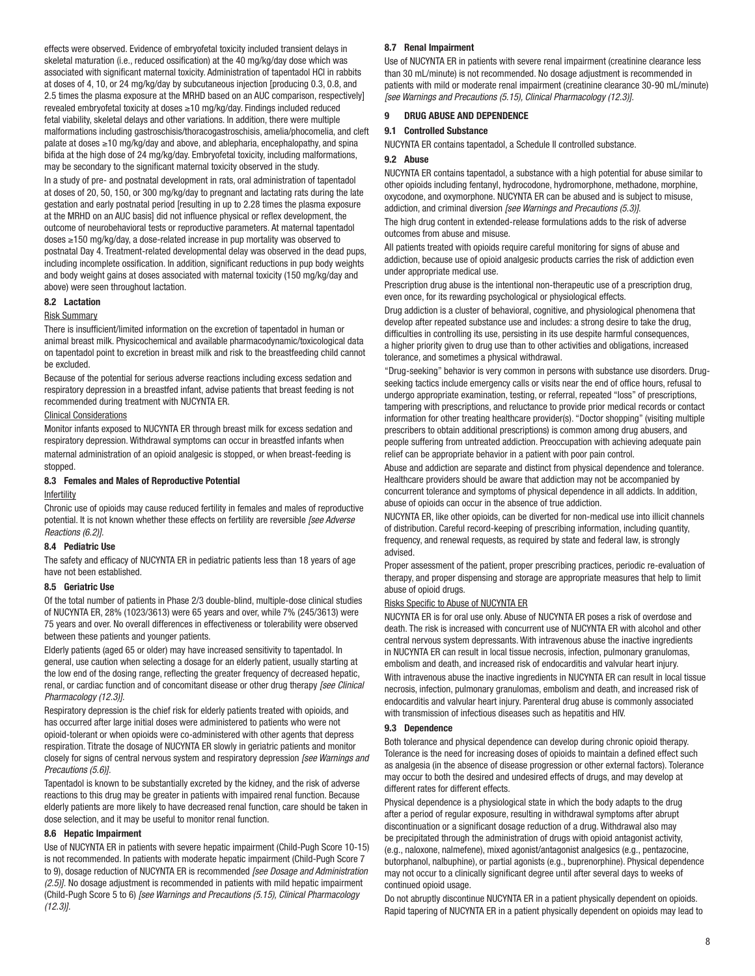effects were observed. Evidence of embryofetal toxicity included transient delays in skeletal maturation (i.e., reduced ossification) at the 40 mg/kg/day dose which was associated with significant maternal toxicity. Administration of tapentadol HCl in rabbits at doses of 4, 10, or 24 mg/kg/day by subcutaneous injection [producing 0.3, 0.8, and 2.5 times the plasma exposure at the MRHD based on an AUC comparison, respectively] revealed embryofetal toxicity at doses ≥10 mg/kg/day. Findings included reduced fetal viability, skeletal delays and other variations. In addition, there were multiple malformations including gastroschisis/thoracogastroschisis, amelia/phocomelia, and cleft palate at doses ≥10 mg/kg/day and above, and ablepharia, encephalopathy, and spina bifida at the high dose of 24 mg/kg/day. Embryofetal toxicity, including malformations, may be secondary to the significant maternal toxicity observed in the study.

In a study of pre- and postnatal development in rats, oral administration of tapentadol at doses of 20, 50, 150, or 300 mg/kg/day to pregnant and lactating rats during the late gestation and early postnatal period [resulting in up to 2.28 times the plasma exposure at the MRHD on an AUC basis] did not influence physical or reflex development, the outcome of neurobehavioral tests or reproductive parameters. At maternal tapentadol doses ≥150 mg/kg/day, a dose-related increase in pup mortality was observed to postnatal Day 4. Treatment-related developmental delay was observed in the dead pups, including incomplete ossification. In addition, significant reductions in pup body weights and body weight gains at doses associated with maternal toxicity (150 mg/kg/day and above) were seen throughout lactation.

#### 8.2 Lactation

#### Risk Summary

There is insufficient/limited information on the excretion of tapentadol in human or animal breast milk. Physicochemical and available pharmacodynamic/toxicological data on tapentadol point to excretion in breast milk and risk to the breastfeeding child cannot be excluded.

Because of the potential for serious adverse reactions including excess sedation and respiratory depression in a breastfed infant, advise patients that breast feeding is not recommended during treatment with NUCYNTA ER.

#### Clinical Considerations

Monitor infants exposed to NUCYNTA ER through breast milk for excess sedation and respiratory depression. Withdrawal symptoms can occur in breastfed infants when maternal administration of an opioid analgesic is stopped, or when breast-feeding is stopped.

#### 8.3 Females and Males of Reproductive Potential **Infertility**

Chronic use of opioids may cause reduced fertility in females and males of reproductive potential. It is not known whether these effects on fertility are reversible *[see Adverse Reactions (6.2)].*

#### 8.4 Pediatric Use

The safety and efficacy of NUCYNTA ER in pediatric patients less than 18 years of age have not been established.

#### 8.5 Geriatric Use

Of the total number of patients in Phase 2/3 double-blind, multiple-dose clinical studies of NUCYNTA ER, 28% (1023/3613) were 65 years and over, while 7% (245/3613) were 75 years and over. No overall differences in effectiveness or tolerability were observed between these patients and younger patients.

Elderly patients (aged 65 or older) may have increased sensitivity to tapentadol. In general, use caution when selecting a dosage for an elderly patient, usually starting at the low end of the dosing range, reflecting the greater frequency of decreased hepatic, renal, or cardiac function and of concomitant disease or other drug therapy *[see Clinical Pharmacology (12.3)].*

Respiratory depression is the chief risk for elderly patients treated with opioids, and has occurred after large initial doses were administered to patients who were not opioid-tolerant or when opioids were co-administered with other agents that depress respiration. Titrate the dosage of NUCYNTA ER slowly in geriatric patients and monitor closely for signs of central nervous system and respiratory depression *[see Warnings and Precautions (5.6)].*

Tapentadol is known to be substantially excreted by the kidney, and the risk of adverse reactions to this drug may be greater in patients with impaired renal function. Because elderly patients are more likely to have decreased renal function, care should be taken in dose selection, and it may be useful to monitor renal function.

#### 8.6 Hepatic Impairment

Use of NUCYNTA ER in patients with severe hepatic impairment (Child-Pugh Score 10-15) is not recommended. In patients with moderate hepatic impairment (Child-Pugh Score 7 to 9), dosage reduction of NUCYNTA ER is recommended *[see Dosage and Administration (2.5)].* No dosage adjustment is recommended in patients with mild hepatic impairment (Child-Pugh Score 5 to 6) *[see Warnings and Precautions (5.15), Clinical Pharmacology (12.3)].*

#### 8.7 Renal Impairment

Use of NUCYNTA ER in patients with severe renal impairment (creatinine clearance less than 30 mL/minute) is not recommended. No dosage adjustment is recommended in patients with mild or moderate renal impairment (creatinine clearance 30-90 mL/minute) *[see Warnings and Precautions (5.15), Clinical Pharmacology (12.3)].*

## 9 DRUG ABUSE AND DEPENDENCE

#### 9.1 Controlled Substance

NUCYNTA ER contains tapentadol, a Schedule II controlled substance.

#### 9.2 Abuse

NUCYNTA ER contains tapentadol, a substance with a high potential for abuse similar to other opioids including fentanyl, hydrocodone, hydromorphone, methadone, morphine, oxycodone, and oxymorphone. NUCYNTA ER can be abused and is subject to misuse, addiction, and criminal diversion *[see Warnings and Precautions (5.3)]*.

The high drug content in extended-release formulations adds to the risk of adverse outcomes from abuse and misuse.

All patients treated with opioids require careful monitoring for signs of abuse and addiction, because use of opioid analgesic products carries the risk of addiction even under appropriate medical use.

Prescription drug abuse is the intentional non-therapeutic use of a prescription drug, even once, for its rewarding psychological or physiological effects.

Drug addiction is a cluster of behavioral, cognitive, and physiological phenomena that develop after repeated substance use and includes: a strong desire to take the drug, difficulties in controlling its use, persisting in its use despite harmful consequences, a higher priority given to drug use than to other activities and obligations, increased tolerance, and sometimes a physical withdrawal.

"Drug-seeking" behavior is very common in persons with substance use disorders. Drugseeking tactics include emergency calls or visits near the end of office hours, refusal to undergo appropriate examination, testing, or referral, repeated "loss" of prescriptions, tampering with prescriptions, and reluctance to provide prior medical records or contact information for other treating healthcare provider(s). "Doctor shopping" (visiting multiple prescribers to obtain additional prescriptions) is common among drug abusers, and people suffering from untreated addiction. Preoccupation with achieving adequate pain relief can be appropriate behavior in a patient with poor pain control.

Abuse and addiction are separate and distinct from physical dependence and tolerance. Healthcare providers should be aware that addiction may not be accompanied by concurrent tolerance and symptoms of physical dependence in all addicts. In addition, abuse of opioids can occur in the absence of true addiction.

NUCYNTA ER, like other opioids, can be diverted for non-medical use into illicit channels of distribution. Careful record-keeping of prescribing information, including quantity, frequency, and renewal requests, as required by state and federal law, is strongly advised.

Proper assessment of the patient, proper prescribing practices, periodic re-evaluation of therapy, and proper dispensing and storage are appropriate measures that help to limit abuse of opioid drugs.

#### Risks Specific to Abuse of NUCYNTA ER

NUCYNTA ER is for oral use only. Abuse of NUCYNTA ER poses a risk of overdose and death. The risk is increased with concurrent use of NUCYNTA ER with alcohol and other central nervous system depressants. With intravenous abuse the inactive ingredients in NUCYNTA ER can result in local tissue necrosis, infection, pulmonary granulomas, embolism and death, and increased risk of endocarditis and valvular heart injury.

With intravenous abuse the inactive ingredients in NUCYNTA ER can result in local tissue necrosis, infection, pulmonary granulomas, embolism and death, and increased risk of endocarditis and valvular heart injury. Parenteral drug abuse is commonly associated with transmission of infectious diseases such as hepatitis and HIV.

#### 9.3 Dependence

Both tolerance and physical dependence can develop during chronic opioid therapy. Tolerance is the need for increasing doses of opioids to maintain a defined effect such as analgesia (in the absence of disease progression or other external factors). Tolerance may occur to both the desired and undesired effects of drugs, and may develop at different rates for different effects.

Physical dependence is a physiological state in which the body adapts to the drug after a period of regular exposure, resulting in withdrawal symptoms after abrupt discontinuation or a significant dosage reduction of a drug. Withdrawal also may be precipitated through the administration of drugs with opioid antagonist activity, (e.g., naloxone, nalmefene), mixed agonist/antagonist analgesics (e.g., pentazocine, butorphanol, nalbuphine), or partial agonists (e.g., buprenorphine). Physical dependence may not occur to a clinically significant degree until after several days to weeks of continued opioid usage.

Do not abruptly discontinue NUCYNTA ER in a patient physically dependent on opioids. Rapid tapering of NUCYNTA ER in a patient physically dependent on opioids may lead to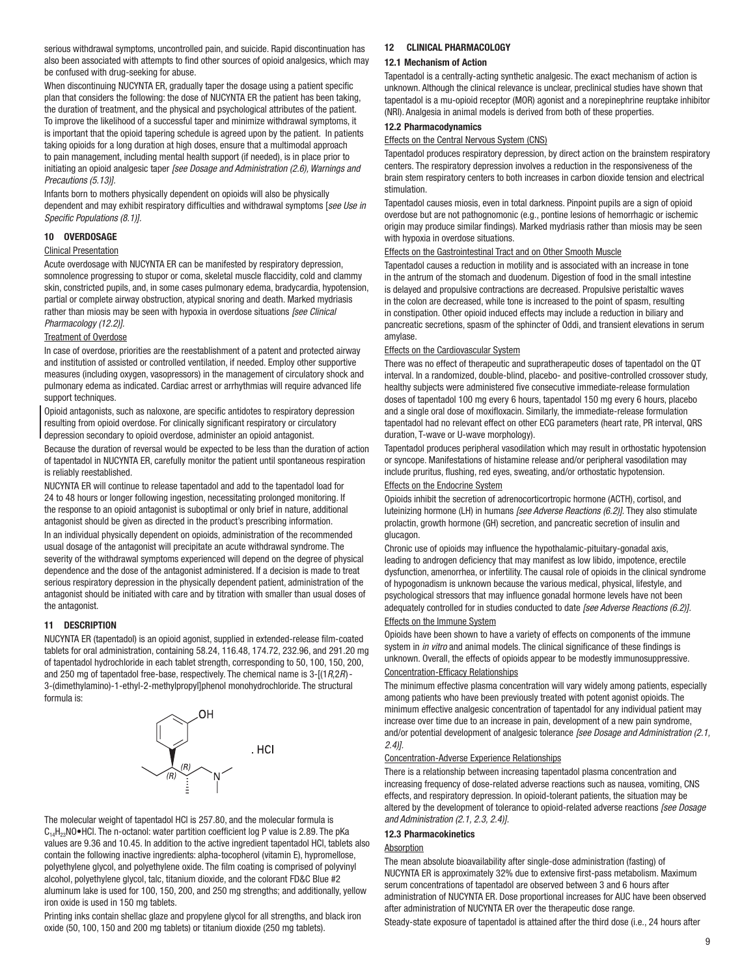serious withdrawal symptoms, uncontrolled pain, and suicide. Rapid discontinuation has also been associated with attempts to find other sources of opioid analgesics, which may be confused with drug-seeking for abuse.

When discontinuing NUCYNTA ER, gradually taper the dosage using a patient specific plan that considers the following: the dose of NUCYNTA ER the patient has been taking, the duration of treatment, and the physical and psychological attributes of the patient. To improve the likelihood of a successful taper and minimize withdrawal symptoms, it is important that the opioid tapering schedule is agreed upon by the patient. In patients taking opioids for a long duration at high doses, ensure that a multimodal approach to pain management, including mental health support (if needed), is in place prior to initiating an opioid analgesic taper *[see Dosage and Administration (2.6), Warnings and Precautions (5.13)].*

Infants born to mothers physically dependent on opioids will also be physically dependent and may exhibit respiratory difficulties and withdrawal symptoms [*see Use in Specific Populations (8.1)].*

#### 10 OVERDOSAGE

#### Clinical Presentation

Acute overdosage with NUCYNTA ER can be manifested by respiratory depression, somnolence progressing to stupor or coma, skeletal muscle flaccidity, cold and clammy skin, constricted pupils, and, in some cases pulmonary edema, bradycardia, hypotension, partial or complete airway obstruction, atypical snoring and death. Marked mydriasis rather than miosis may be seen with hypoxia in overdose situations *[see Clinical Pharmacology (12.2)].*

## Treatment of Overdose

In case of overdose, priorities are the reestablishment of a patent and protected airway and institution of assisted or controlled ventilation, if needed. Employ other supportive measures (including oxygen, vasopressors) in the management of circulatory shock and pulmonary edema as indicated. Cardiac arrest or arrhythmias will require advanced life support techniques.

Opioid antagonists, such as naloxone, are specific antidotes to respiratory depression resulting from opioid overdose. For clinically significant respiratory or circulatory depression secondary to opioid overdose, administer an opioid antagonist.

Because the duration of reversal would be expected to be less than the duration of action of tapentadol in NUCYNTA ER, carefully monitor the patient until spontaneous respiration is reliably reestablished.

NUCYNTA ER will continue to release tapentadol and add to the tapentadol load for 24 to 48 hours or longer following ingestion, necessitating prolonged monitoring. If the response to an opioid antagonist is suboptimal or only brief in nature, additional antagonist should be given as directed in the product's prescribing information.

In an individual physically dependent on opioids, administration of the recommended usual dosage of the antagonist will precipitate an acute withdrawal syndrome. The severity of the withdrawal symptoms experienced will depend on the degree of physical dependence and the dose of the antagonist administered. If a decision is made to treat serious respiratory depression in the physically dependent patient, administration of the antagonist should be initiated with care and by titration with smaller than usual doses of the antagonist.

#### 11 DESCRIPTION

NUCYNTA ER (tapentadol) is an opioid agonist, supplied in extended-release film-coated tablets for oral administration, containing 58.24, 116.48, 174.72, 232.96, and 291.20 mg of tapentadol hydrochloride in each tablet strength, corresponding to 50, 100, 150, 200, and 250 mg of tapentadol free-base, respectively. The chemical name is 3-[(1*R*,2*R*)- 3-(dimethylamino)-1-ethyl-2-methylpropyl]phenol monohydrochloride. The structural formula is:



The molecular weight of tapentadol HCl is 257.80, and the molecular formula is  $C_{14}H_{23}NO$ •HCl. The n-octanol: water partition coefficient log P value is 2.89. The pKa values are 9.36 and 10.45. In addition to the active ingredient tapentadol HCl, tablets also contain the following inactive ingredients: alpha-tocopherol (vitamin E), hypromellose, polyethylene glycol, and polyethylene oxide. The film coating is comprised of polyvinyl alcohol, polyethylene glycol, talc, titanium dioxide, and the colorant FD&C Blue #2 aluminum lake is used for 100, 150, 200, and 250 mg strengths; and additionally, yellow iron oxide is used in 150 mg tablets.

Printing inks contain shellac glaze and propylene glycol for all strengths, and black iron oxide (50, 100, 150 and 200 mg tablets) or titanium dioxide (250 mg tablets).

#### 12 CLINICAL PHARMACOLOGY

#### 12.1 Mechanism of Action

Tapentadol is a centrally-acting synthetic analgesic. The exact mechanism of action is unknown. Although the clinical relevance is unclear, preclinical studies have shown that tapentadol is a mu-opioid receptor (MOR) agonist and a norepinephrine reuptake inhibitor (NRI). Analgesia in animal models is derived from both of these properties.

### 12.2 Pharmacodynamics

#### Effects on the Central Nervous System (CNS)

Tapentadol produces respiratory depression, by direct action on the brainstem respiratory centers. The respiratory depression involves a reduction in the responsiveness of the brain stem respiratory centers to both increases in carbon dioxide tension and electrical stimulation.

Tapentadol causes miosis, even in total darkness. Pinpoint pupils are a sign of opioid overdose but are not pathognomonic (e.g., pontine lesions of hemorrhagic or ischemic origin may produce similar findings). Marked mydriasis rather than miosis may be seen with hypoxia in overdose situations.

#### Effects on the Gastrointestinal Tract and on Other Smooth Muscle

Tapentadol causes a reduction in motility and is associated with an increase in tone in the antrum of the stomach and duodenum. Digestion of food in the small intestine is delayed and propulsive contractions are decreased. Propulsive peristaltic waves in the colon are decreased, while tone is increased to the point of spasm, resulting in constipation. Other opioid induced effects may include a reduction in biliary and pancreatic secretions, spasm of the sphincter of Oddi, and transient elevations in serum amylase.

#### **Effects on the Cardiovascular System**

There was no effect of therapeutic and supratherapeutic doses of tapentadol on the QT interval. In a randomized, double-blind, placebo- and positive-controlled crossover study, healthy subjects were administered five consecutive immediate-release formulation doses of tapentadol 100 mg every 6 hours, tapentadol 150 mg every 6 hours, placebo and a single oral dose of moxifloxacin. Similarly, the immediate-release formulation tapentadol had no relevant effect on other ECG parameters (heart rate, PR interval, QRS duration, T-wave or U-wave morphology).

Tapentadol produces peripheral vasodilation which may result in orthostatic hypotension or syncope. Manifestations of histamine release and/or peripheral vasodilation may include pruritus, flushing, red eyes, sweating, and/or orthostatic hypotension. Effects on the Endocrine System

Opioids inhibit the secretion of adrenocorticortropic hormone (ACTH), cortisol, and luteinizing hormone (LH) in humans *[see Adverse Reactions (6.2)].* They also stimulate prolactin, growth hormone (GH) secretion, and pancreatic secretion of insulin and glucagon.

Chronic use of opioids may influence the hypothalamic-pituitary-gonadal axis, leading to androgen deficiency that may manifest as low libido, impotence, erectile dysfunction, amenorrhea, or infertility. The causal role of opioids in the clinical syndrome of hypogonadism is unknown because the various medical, physical, lifestyle, and psychological stressors that may influence gonadal hormone levels have not been adequately controlled for in studies conducted to date *[see Adverse Reactions (6.2)].*

## Effects on the Immune System

Opioids have been shown to have a variety of effects on components of the immune system in *in vitro* and animal models. The clinical significance of these findings is unknown. Overall, the effects of opioids appear to be modestly immunosuppressive. Concentration-Efficacy Relationships

The minimum effective plasma concentration will vary widely among patients, especially among patients who have been previously treated with potent agonist opioids. The minimum effective analgesic concentration of tapentadol for any individual patient may increase over time due to an increase in pain, development of a new pain syndrome,

and/or potential development of analgesic tolerance *[see Dosage and Administration (2.1, 2.4)].*

#### Concentration-Adverse Experience Relationships

There is a relationship between increasing tapentadol plasma concentration and increasing frequency of dose-related adverse reactions such as nausea, vomiting, CNS effects, and respiratory depression. In opioid-tolerant patients, the situation may be altered by the development of tolerance to opioid-related adverse reactions *[see Dosage and Administration (2.1, 2.3, 2.4)].*

#### 12.3 Pharmacokinetics

#### **Absorption**

The mean absolute bioavailability after single-dose administration (fasting) of NUCYNTA ER is approximately 32% due to extensive first-pass metabolism. Maximum serum concentrations of tapentadol are observed between 3 and 6 hours after administration of NUCYNTA ER. Dose proportional increases for AUC have been observed after administration of NUCYNTA ER over the therapeutic dose range.

Steady-state exposure of tapentadol is attained after the third dose (i.e., 24 hours after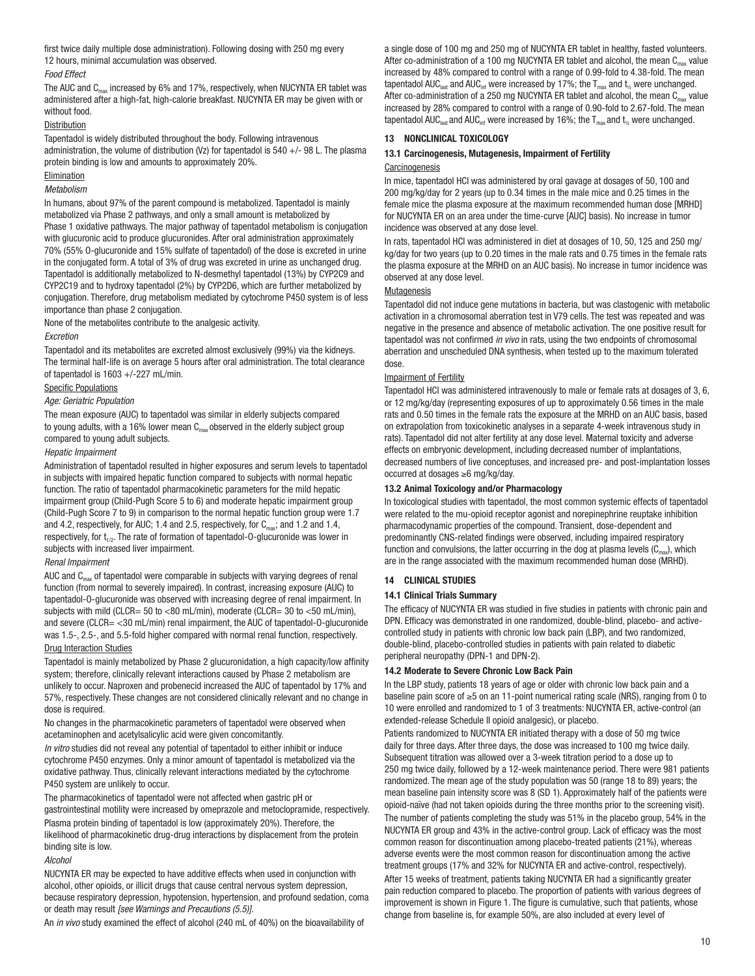first twice daily multiple dose administration). Following dosing with 250 mg every 12 hours, minimal accumulation was observed.

### *Food Effect*

The AUC and  $C_{\text{max}}$  increased by 6% and 17%, respectively, when NUCYNTA ER tablet was administered after a high-fat, high-calorie breakfast. NUCYNTA ER may be given with or without food.

### **Distribution**

Tapentadol is widely distributed throughout the body. Following intravenous administration, the volume of distribution (Vz) for tapentadol is  $540 +/-98$  L. The plasma protein binding is low and amounts to approximately 20%.

## **Elimination**

*Metabolism*

In humans, about 97% of the parent compound is metabolized. Tapentadol is mainly metabolized via Phase 2 pathways, and only a small amount is metabolized by Phase 1 oxidative pathways. The major pathway of tapentadol metabolism is conjugation with glucuronic acid to produce glucuronides. After oral administration approximately 70% (55% O-glucuronide and 15% sulfate of tapentadol) of the dose is excreted in urine in the conjugated form. A total of 3% of drug was excreted in urine as unchanged drug. Tapentadol is additionally metabolized to N-desmethyl tapentadol (13%) by CYP2C9 and CYP2C19 and to hydroxy tapentadol (2%) by CYP2D6, which are further metabolized by conjugation. Therefore, drug metabolism mediated by cytochrome P450 system is of less importance than phase 2 conjugation.

None of the metabolites contribute to the analgesic activity.

#### *Excretion*

Tapentadol and its metabolites are excreted almost exclusively (99%) via the kidneys. The terminal half-life is on average 5 hours after oral administration. The total clearance of tapentadol is 1603 +/-227 mL/min.

#### Specific Populations

#### *Age: Geriatric Population*

The mean exposure (AUC) to tapentadol was similar in elderly subjects compared to young adults, with a 16% lower mean  $C_{\text{max}}$  observed in the elderly subject group compared to young adult subjects.

#### *Hepatic Impairment*

Administration of tapentadol resulted in higher exposures and serum levels to tapentadol in subjects with impaired hepatic function compared to subjects with normal hepatic function. The ratio of tapentadol pharmacokinetic parameters for the mild hepatic impairment group (Child-Pugh Score 5 to 6) and moderate hepatic impairment group (Child-Pugh Score 7 to 9) in comparison to the normal hepatic function group were 1.7 and 4.2, respectively, for AUC; 1.4 and 2.5, respectively, for  $C_{\text{max}}$ ; and 1.2 and 1.4, respectively, for  $t_{1/2}$ . The rate of formation of tapentadol-O-glucuronide was lower in subjects with increased liver impairment.

#### *Renal Impairment*

AUC and  $C_{\text{max}}$  of tapentadol were comparable in subjects with varying degrees of renal function (from normal to severely impaired). In contrast, increasing exposure (AUC) to tapentadol-O-glucuronide was observed with increasing degree of renal impairment. In subjects with mild (CLCR= 50 to <80 mL/min), moderate (CLCR= 30 to <50 mL/min), and severe (CLCR= <30 mL/min) renal impairment, the AUC of tapentadol-O-glucuronide was 1.5-, 2.5-, and 5.5-fold higher compared with normal renal function, respectively. Drug Interaction Studies

Tapentadol is mainly metabolized by Phase 2 glucuronidation, a high capacity/low affinity system; therefore, clinically relevant interactions caused by Phase 2 metabolism are unlikely to occur. Naproxen and probenecid increased the AUC of tapentadol by 17% and 57%, respectively. These changes are not considered clinically relevant and no change in dose is required.

No changes in the pharmacokinetic parameters of tapentadol were observed when acetaminophen and acetylsalicylic acid were given concomitantly.

*In vitro* studies did not reveal any potential of tapentadol to either inhibit or induce cytochrome P450 enzymes. Only a minor amount of tapentadol is metabolized via the oxidative pathway. Thus, clinically relevant interactions mediated by the cytochrome P450 system are unlikely to occur.

The pharmacokinetics of tapentadol were not affected when gastric pH or gastrointestinal motility were increased by omeprazole and metoclopramide, respectively.

Plasma protein binding of tapentadol is low (approximately 20%). Therefore, the likelihood of pharmacokinetic drug-drug interactions by displacement from the protein binding site is low.

## *Alcohol*

NUCYNTA ER may be expected to have additive effects when used in conjunction with alcohol, other opioids, or illicit drugs that cause central nervous system depression, because respiratory depression, hypotension, hypertension, and profound sedation, coma or death may result *[see Warnings and Precautions (5.5)].*

An *in vivo* study examined the effect of alcohol (240 mL of 40%) on the bioavailability of

a single dose of 100 mg and 250 mg of NUCYNTA ER tablet in healthy, fasted volunteers. After co-administration of a 100 mg NUCYNTA ER tablet and alcohol, the mean  $C_{\text{max}}$  value increased by 48% compared to control with a range of 0.99-fold to 4.38-fold. The mean tapentadol AUC<sub>last</sub> and AUC<sub>inf</sub> were increased by 17%; the  $T_{max}$  and  $t_{\kappa}$  were unchanged. After co-administration of a 250 mg NUCYNTA ER tablet and alcohol, the mean  $C_{\text{max}}$  value increased by 28% compared to control with a range of 0.90-fold to 2.67-fold. The mean tapentadol AUC<sub>last</sub> and AUC<sub>inf</sub> were increased by 16%; the T<sub>max</sub> and  $t_{\frac{1}{2}}$  were unchanged.

### 13 NONCLINICAL TOXICOLOGY

#### 13.1 Carcinogenesis, Mutagenesis, Impairment of Fertility Carcinogenesis

In mice, tapentadol HCl was administered by oral gavage at dosages of 50, 100 and 200 mg/kg/day for 2 years (up to 0.34 times in the male mice and 0.25 times in the female mice the plasma exposure at the maximum recommended human dose [MRHD] for NUCYNTA ER on an area under the time-curve [AUC] basis). No increase in tumor incidence was observed at any dose level.

In rats, tapentadol HCl was administered in diet at dosages of 10, 50, 125 and 250 mg/ kg/day for two years (up to 0.20 times in the male rats and 0.75 times in the female rats the plasma exposure at the MRHD on an AUC basis). No increase in tumor incidence was observed at any dose level.

### **Mutagenesis**

Tapentadol did not induce gene mutations in bacteria, but was clastogenic with metabolic activation in a chromosomal aberration test in V79 cells. The test was repeated and was negative in the presence and absence of metabolic activation. The one positive result for tapentadol was not confirmed *in vivo* in rats, using the two endpoints of chromosomal aberration and unscheduled DNA synthesis, when tested up to the maximum tolerated dose.

#### Impairment of Fertility

Tapentadol HCl was administered intravenously to male or female rats at dosages of 3, 6, or 12 mg/kg/day (representing exposures of up to approximately 0.56 times in the male rats and 0.50 times in the female rats the exposure at the MRHD on an AUC basis, based on extrapolation from toxicokinetic analyses in a separate 4-week intravenous study in rats). Tapentadol did not alter fertility at any dose level. Maternal toxicity and adverse effects on embryonic development, including decreased number of implantations, decreased numbers of live conceptuses, and increased pre- and post-implantation losses occurred at dosages ≥6 mg/kg/day.

#### 13.2 Animal Toxicology and/or Pharmacology

In toxicological studies with tapentadol, the most common systemic effects of tapentadol were related to the mu-opioid receptor agonist and norepinephrine reuptake inhibition pharmacodynamic properties of the compound. Transient, dose-dependent and predominantly CNS-related findings were observed, including impaired respiratory function and convulsions, the latter occurring in the dog at plasma levels  $(C_{\text{max}})$ , which are in the range associated with the maximum recommended human dose (MRHD).

#### 14 CLINICAL STUDIES

### 14.1 Clinical Trials Summary

The efficacy of NUCYNTA ER was studied in five studies in patients with chronic pain and DPN. Efficacy was demonstrated in one randomized, double-blind, placebo- and activecontrolled study in patients with chronic low back pain (LBP), and two randomized, double-blind, placebo-controlled studies in patients with pain related to diabetic peripheral neuropathy (DPN-1 and DPN-2).

#### 14.2 Moderate to Severe Chronic Low Back Pain

In the LBP study, patients 18 years of age or older with chronic low back pain and a baseline pain score of ≥5 on an 11-point numerical rating scale (NRS), ranging from 0 to 10 were enrolled and randomized to 1 of 3 treatments: NUCYNTA ER, active-control (an extended-release Schedule II opioid analgesic), or placebo.

Patients randomized to NUCYNTA ER initiated therapy with a dose of 50 mg twice daily for three days. After three days, the dose was increased to 100 mg twice daily. Subsequent titration was allowed over a 3-week titration period to a dose up to 250 mg twice daily, followed by a 12-week maintenance period. There were 981 patients randomized. The mean age of the study population was 50 (range 18 to 89) years; the mean baseline pain intensity score was 8 (SD 1). Approximately half of the patients were opioid-naïve (had not taken opioids during the three months prior to the screening visit). The number of patients completing the study was 51% in the placebo group, 54% in the NUCYNTA ER group and 43% in the active-control group. Lack of efficacy was the most common reason for discontinuation among placebo-treated patients (21%), whereas adverse events were the most common reason for discontinuation among the active treatment groups (17% and 32% for NUCYNTA ER and active-control, respectively). After 15 weeks of treatment, patients taking NUCYNTA ER had a significantly greater pain reduction compared to placebo. The proportion of patients with various degrees of

improvement is shown in Figure 1. The figure is cumulative, such that patients, whose change from baseline is, for example 50%, are also included at every level of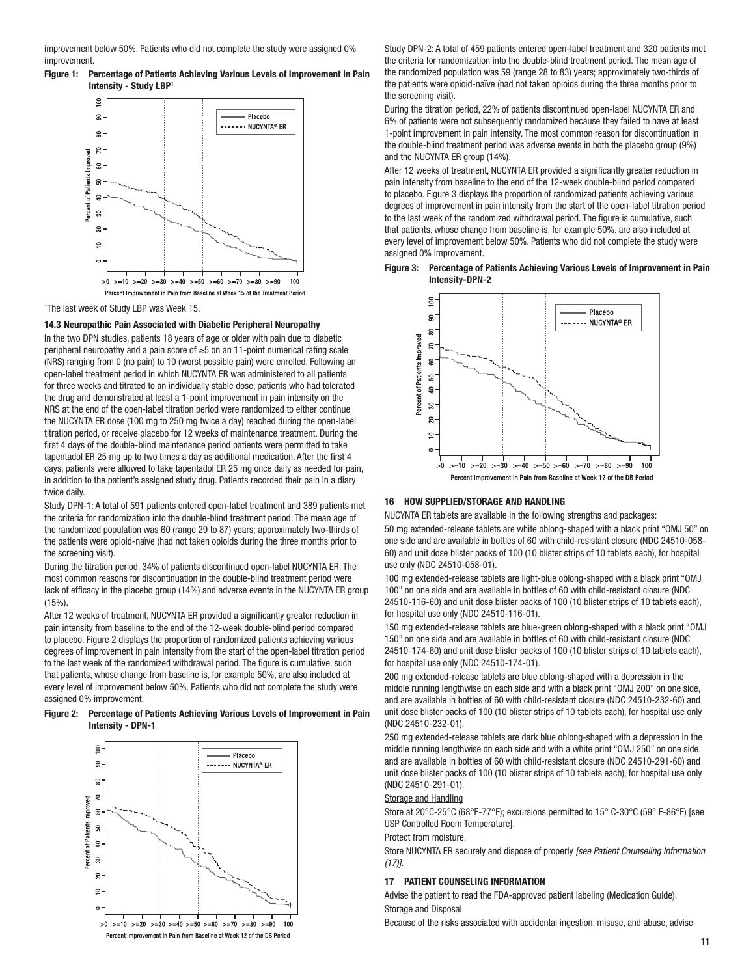improvement below 50%. Patients who did not complete the study were assigned 0% improvement.





1 The last week of Study LBP was Week 15.

#### 14.3 Neuropathic Pain Associated with Diabetic Peripheral Neuropathy

In the two DPN studies, patients 18 years of age or older with pain due to diabetic peripheral neuropathy and a pain score of ≥5 on an 11-point numerical rating scale (NRS) ranging from 0 (no pain) to 10 (worst possible pain) were enrolled. Following an open-label treatment period in which NUCYNTA ER was administered to all patients for three weeks and titrated to an individually stable dose, patients who had tolerated the drug and demonstrated at least a 1-point improvement in pain intensity on the NRS at the end of the open-label titration period were randomized to either continue the NUCYNTA ER dose (100 mg to 250 mg twice a day) reached during the open-label titration period, or receive placebo for 12 weeks of maintenance treatment. During the first 4 days of the double-blind maintenance period patients were permitted to take tapentadol ER 25 mg up to two times a day as additional medication. After the first 4 days, patients were allowed to take tapentadol ER 25 mg once daily as needed for pain, in addition to the patient's assigned study drug. Patients recorded their pain in a diary twice daily.

Study DPN-1: A total of 591 patients entered open-label treatment and 389 patients met the criteria for randomization into the double-blind treatment period. The mean age of the randomized population was 60 (range 29 to 87) years; approximately two-thirds of the patients were opioid-naïve (had not taken opioids during the three months prior to the screening visit).

During the titration period, 34% of patients discontinued open-label NUCYNTA ER. The most common reasons for discontinuation in the double-blind treatment period were lack of efficacy in the placebo group (14%) and adverse events in the NUCYNTA ER group (15%).

After 12 weeks of treatment, NUCYNTA ER provided a significantly greater reduction in pain intensity from baseline to the end of the 12-week double-blind period compared to placebo. Figure 2 displays the proportion of randomized patients achieving various degrees of improvement in pain intensity from the start of the open-label titration period to the last week of the randomized withdrawal period. The figure is cumulative, such that patients, whose change from baseline is, for example 50%, are also included at every level of improvement below 50%. Patients who did not complete the study were assigned 0% improvement.

#### Figure 2: Percentage of Patients Achieving Various Levels of Improvement in Pain Intensity - DPN-1



Study DPN-2: A total of 459 patients entered open-label treatment and 320 patients met the criteria for randomization into the double-blind treatment period. The mean age of the randomized population was 59 (range 28 to 83) years; approximately two-thirds of the patients were opioid-naïve (had not taken opioids during the three months prior to the screening visit).

During the titration period, 22% of patients discontinued open-label NUCYNTA ER and 6% of patients were not subsequently randomized because they failed to have at least 1-point improvement in pain intensity. The most common reason for discontinuation in the double-blind treatment period was adverse events in both the placebo group (9%) and the NUCYNTA ER group (14%).

After 12 weeks of treatment, NUCYNTA ER provided a significantly greater reduction in pain intensity from baseline to the end of the 12-week double-blind period compared to placebo. Figure 3 displays the proportion of randomized patients achieving various degrees of improvement in pain intensity from the start of the open-label titration period to the last week of the randomized withdrawal period. The figure is cumulative, such that patients, whose change from baseline is, for example 50%, are also included at every level of improvement below 50%. Patients who did not complete the study were assigned 0% improvement.

#### Figure 3: Percentage of Patients Achieving Various Levels of Improvement in Pain Intensity-DPN-2



#### 16 HOW SUPPLIED/STORAGE AND HANDLING

NUCYNTA ER tablets are available in the following strengths and packages: 50 mg extended-release tablets are white oblong-shaped with a black print "OMJ 50" on one side and are available in bottles of 60 with child-resistant closure (NDC 24510-058- 60) and unit dose blister packs of 100 (10 blister strips of 10 tablets each), for hospital use only (NDC 24510-058-01).

100 mg extended-release tablets are light-blue oblong-shaped with a black print "OMJ 100" on one side and are available in bottles of 60 with child-resistant closure (NDC 24510-116-60) and unit dose blister packs of 100 (10 blister strips of 10 tablets each), for hospital use only (NDC 24510-116-01).

150 mg extended-release tablets are blue-green oblong-shaped with a black print "OMJ 150" on one side and are available in bottles of 60 with child-resistant closure (NDC 24510-174-60) and unit dose blister packs of 100 (10 blister strips of 10 tablets each), for hospital use only (NDC 24510-174-01).

200 mg extended-release tablets are blue oblong-shaped with a depression in the middle running lengthwise on each side and with a black print "OMJ 200" on one side, and are available in bottles of 60 with child-resistant closure (NDC 24510-232-60) and unit dose blister packs of 100 (10 blister strips of 10 tablets each), for hospital use only (NDC 24510-232-01).

250 mg extended-release tablets are dark blue oblong-shaped with a depression in the middle running lengthwise on each side and with a white print "OMJ 250" on one side, and are available in bottles of 60 with child-resistant closure (NDC 24510-291-60) and unit dose blister packs of 100 (10 blister strips of 10 tablets each), for hospital use only (NDC 24510-291-01).

#### Storage and Handling

Store at 20°C-25°C (68°F-77°F); excursions permitted to 15° C-30°C (59° F-86°F) [see USP Controlled Room Temperature].

Protect from moisture.

Store NUCYNTA ER securely and dispose of properly *[see Patient Counseling Information (17)].*

#### 17 PATIENT COUNSELING INFORMATION

Advise the patient to read the FDA-approved patient labeling (Medication Guide). Storage and Disposal

Because of the risks associated with accidental ingestion, misuse, and abuse, advise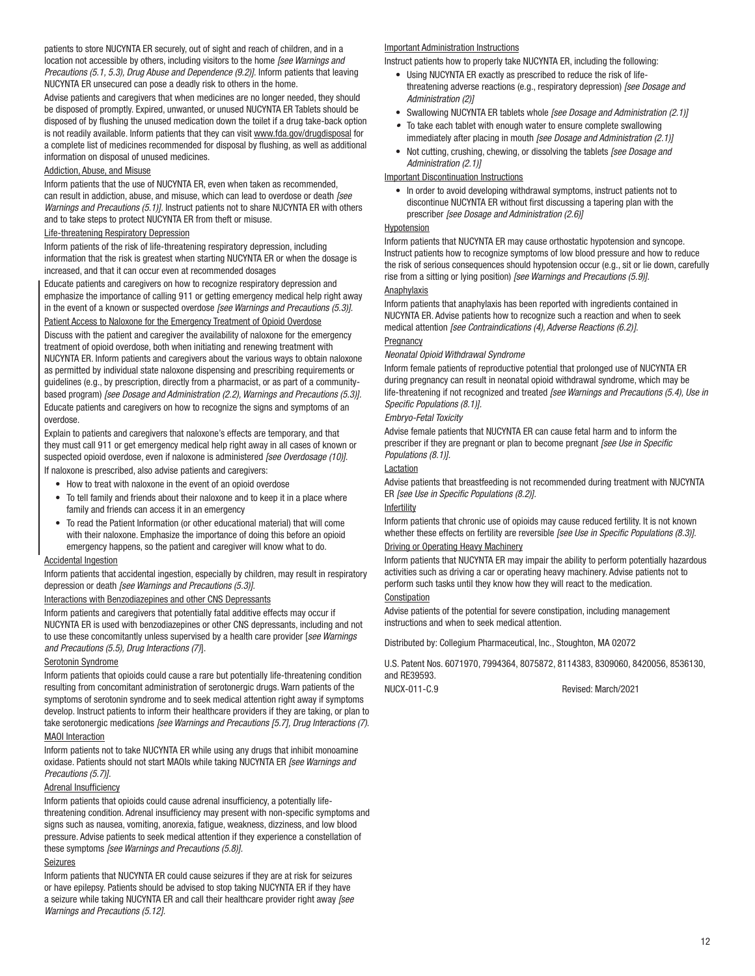patients to store NUCYNTA ER securely, out of sight and reach of children, and in a location not accessible by others, including visitors to the home *[see Warnings and Precautions (5.1, 5.3), Drug Abuse and Dependence (9.2)].* Inform patients that leaving NUCYNTA ER unsecured can pose a deadly risk to others in the home.

Advise patients and caregivers that when medicines are no longer needed, they should be disposed of promptly. Expired, unwanted, or unused NUCYNTA ER Tablets should be disposed of by flushing the unused medication down the toilet if a drug take-back option is not readily available. Inform patients that they can visit www.fda.gov/drugdisposal for a complete list of medicines recommended for disposal by flushing, as well as additional information on disposal of unused medicines.

## Addiction, Abuse, and Misuse

Inform patients that the use of NUCYNTA ER, even when taken as recommended, can result in addiction, abuse, and misuse, which can lead to overdose or death *[see Warnings and Precautions (5.1)].* Instruct patients not to share NUCYNTA ER with others and to take steps to protect NUCYNTA ER from theft or misuse.

#### Life-threatening Respiratory Depression

Inform patients of the risk of life-threatening respiratory depression, including information that the risk is greatest when starting NUCYNTA ER or when the dosage is increased, and that it can occur even at recommended dosages

Educate patients and caregivers on how to recognize respiratory depression and emphasize the importance of calling 911 or getting emergency medical help right away in the event of a known or suspected overdose *[see Warnings and Precautions (5.3)].* Patient Access to Naloxone for the Emergency Treatment of Opioid Overdose

Discuss with the patient and caregiver the availability of naloxone for the emergency treatment of opioid overdose, both when initiating and renewing treatment with NUCYNTA ER. Inform patients and caregivers about the various ways to obtain naloxone as permitted by individual state naloxone dispensing and prescribing requirements or guidelines (e.g., by prescription, directly from a pharmacist, or as part of a communitybased program) *[see Dosage and Administration (2.2), Warnings and Precautions (5.3)].* Educate patients and caregivers on how to recognize the signs and symptoms of an overdose.

Explain to patients and caregivers that naloxone's effects are temporary, and that they must call 911 or get emergency medical help right away in all cases of known or suspected opioid overdose, even if naloxone is administered *[see Overdosage (10)]*. If naloxone is prescribed, also advise patients and caregivers:

- How to treat with naloxone in the event of an opioid overdose
- To tell family and friends about their naloxone and to keep it in a place where family and friends can access it in an emergency
- To read the Patient Information (or other educational material) that will come with their naloxone. Emphasize the importance of doing this before an opioid emergency happens, so the patient and caregiver will know what to do.

#### Accidental Ingestion

Inform patients that accidental ingestion, especially by children, may result in respiratory depression or death *[see Warnings and Precautions (5.3)].*

#### Interactions with Benzodiazepines and other CNS Depressants

Inform patients and caregivers that potentially fatal additive effects may occur if NUCYNTA ER is used with benzodiazepines or other CNS depressants, including and not to use these concomitantly unless supervised by a health care provider [*see Warnings and Precautions (5.5), Drug Interactions (7)*].

#### Serotonin Syndrome

Inform patients that opioids could cause a rare but potentially life-threatening condition resulting from concomitant administration of serotonergic drugs. Warn patients of the symptoms of serotonin syndrome and to seek medical attention right away if symptoms develop. Instruct patients to inform their healthcare providers if they are taking, or plan to take serotonergic medications *[see Warnings and Precautions [5.7], Drug Interactions (7).* MAOI Interaction

Inform patients not to take NUCYNTA ER while using any drugs that inhibit monoamine oxidase. Patients should not start MAOIs while taking NUCYNTA ER *[see Warnings and Precautions (5.7)].*

## **Adrenal Insufficiency**

Inform patients that opioids could cause adrenal insufficiency, a potentially lifethreatening condition. Adrenal insufficiency may present with non-specific symptoms and signs such as nausea, vomiting, anorexia, fatigue, weakness, dizziness, and low blood pressure. Advise patients to seek medical attention if they experience a constellation of these symptoms *[see Warnings and Precautions (5.8)].*

#### Seizures

Inform patients that NUCYNTA ER could cause seizures if they are at risk for seizures or have epilepsy. Patients should be advised to stop taking NUCYNTA ER if they have a seizure while taking NUCYNTA ER and call their healthcare provider right away *[see Warnings and Precautions (5.12].*

#### Important Administration Instructions

Instruct patients how to properly take NUCYNTA ER, including the following:

- Using NUCYNTA ER exactly as prescribed to reduce the risk of lifethreatening adverse reactions (e.g., respiratory depression) *[see Dosage and Administration (2)]*
- Swallowing NUCYNTA ER tablets whole *[see Dosage and Administration (2.1)]*
- *•* To take each tablet with enough water to ensure complete swallowing immediately after placing in mouth *[see Dosage and Administration (2.1)]*
- Not cutting, crushing, chewing, or dissolving the tablets *[see Dosage and Administration (2.1)]*

### Important Discontinuation Instructions

• In order to avoid developing withdrawal symptoms, instruct patients not to discontinue NUCYNTA ER without first discussing a tapering plan with the prescriber *[see Dosage and Administration (2.6)]*

#### **Hypotension**

Inform patients that NUCYNTA ER may cause orthostatic hypotension and syncope. Instruct patients how to recognize symptoms of low blood pressure and how to reduce the risk of serious consequences should hypotension occur (e.g., sit or lie down, carefully rise from a sitting or lying position) *[see Warnings and Precautions (5.9)].*

#### Anaphylaxis

Inform patients that anaphylaxis has been reported with ingredients contained in NUCYNTA ER. Advise patients how to recognize such a reaction and when to seek medical attention *[see Contraindications (4), Adverse Reactions (6.2)]*.

## **Pregnancy**

### *Neonatal Opioid Withdrawal Syndrome*

Inform female patients of reproductive potential that prolonged use of NUCYNTA ER during pregnancy can result in neonatal opioid withdrawal syndrome, which may be life-threatening if not recognized and treated *[see Warnings and Precautions (5.4), Use in Specific Populations (8.1)].*

#### *Embryo-Fetal Toxicity*

Advise female patients that NUCYNTA ER can cause fetal harm and to inform the prescriber if they are pregnant or plan to become pregnant *[see Use in Specific Populations (8.1)].*

#### **Lactation**

Advise patients that breastfeeding is not recommended during treatment with NUCYNTA ER *[see Use in Specific Populations (8.2)].*

#### Infertility

Inform patients that chronic use of opioids may cause reduced fertility. It is not known whether these effects on fertility are reversible *[see Use in Specific Populations (8.3)].* Driving or Operating Heavy Machinery

Inform patients that NUCYNTA ER may impair the ability to perform potentially hazardous activities such as driving a car or operating heavy machinery. Advise patients not to perform such tasks until they know how they will react to the medication.

#### Constipation

Advise patients of the potential for severe constipation, including management instructions and when to seek medical attention.

Distributed by: Collegium Pharmaceutical, Inc., Stoughton, MA 02072

U.S. Patent Nos. 6071970, 7994364, 8075872, 8114383, 8309060, 8420056, 8536130, and RE39593.

NUCX-011-C.9 Revised: March/2021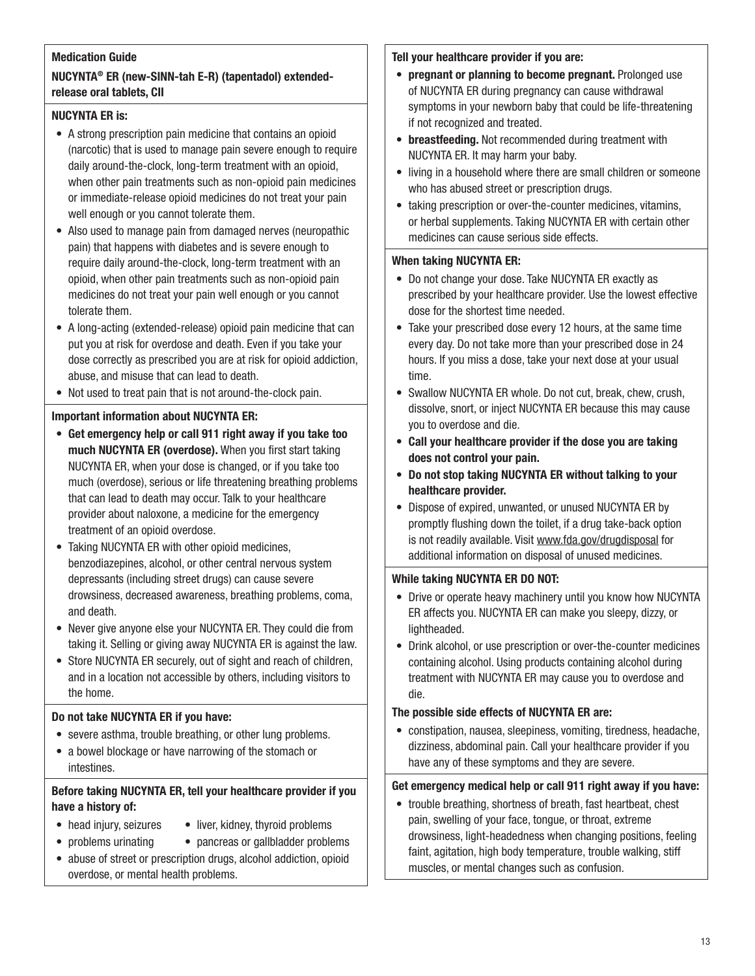# **Medication Guide**

# **NUCYNTA® ER (new-SINN-tah E-R) (tapentadol) extendedrelease oral tablets, CII**

# **NUCYNTA ER is:**

- A strong prescription pain medicine that contains an opioid (narcotic) that is used to manage pain severe enough to require daily around-the-clock, long-term treatment with an opioid, when other pain treatments such as non-opioid pain medicines or immediate-release opioid medicines do not treat your pain well enough or you cannot tolerate them.
- Also used to manage pain from damaged nerves (neuropathic pain) that happens with diabetes and is severe enough to require daily around-the-clock, long-term treatment with an opioid, when other pain treatments such as non-opioid pain medicines do not treat your pain well enough or you cannot tolerate them.
- A long-acting (extended-release) opioid pain medicine that can put you at risk for overdose and death. Even if you take your dose correctly as prescribed you are at risk for opioid addiction, abuse, and misuse that can lead to death.
- Not used to treat pain that is not around-the-clock pain.

# **Important information about NUCYNTA ER:**

- **Get emergency help or call 911 right away if you take too much NUCYNTA ER (overdose).** When you first start taking NUCYNTA ER, when your dose is changed, or if you take too much (overdose), serious or life threatening breathing problems that can lead to death may occur. Talk to your healthcare provider about naloxone, a medicine for the emergency treatment of an opioid overdose.
- Taking NUCYNTA ER with other opioid medicines, benzodiazepines, alcohol, or other central nervous system depressants (including street drugs) can cause severe drowsiness, decreased awareness, breathing problems, coma, and death.
- Never give anyone else your NUCYNTA ER. They could die from taking it. Selling or giving away NUCYNTA ER is against the law.
- Store NUCYNTA ER securely, out of sight and reach of children, and in a location not accessible by others, including visitors to the home.

## **Do not take NUCYNTA ER if you have:**

- severe asthma, trouble breathing, or other lung problems.
- a bowel blockage or have narrowing of the stomach or intestines.

# **Before taking NUCYNTA ER, tell your healthcare provider if you have a history of:**

- 
- head injury, seizures liver, kidney, thyroid problems
- 
- problems urinating pancreas or gallbladder problems
- abuse of street or prescription drugs, alcohol addiction, opioid

overdose, or mental health problems.

# **Tell your healthcare provider if you are:**

- **pregnant or planning to become pregnant.** Prolonged use of NUCYNTA ER during pregnancy can cause withdrawal symptoms in your newborn baby that could be life-threatening if not recognized and treated.
- **breastfeeding.** Not recommended during treatment with NUCYNTA ER. It may harm your baby.
- living in a household where there are small children or someone who has abused street or prescription drugs.
- taking prescription or over-the-counter medicines, vitamins, or herbal supplements. Taking NUCYNTA ER with certain other medicines can cause serious side effects.

## **When taking NUCYNTA ER:**

- Do not change your dose. Take NUCYNTA ER exactly as prescribed by your healthcare provider. Use the lowest effective dose for the shortest time needed.
- Take your prescribed dose every 12 hours, at the same time every day. Do not take more than your prescribed dose in 24 hours. If you miss a dose, take your next dose at your usual time.
- Swallow NUCYNTA ER whole. Do not cut, break, chew, crush, dissolve, snort, or inject NUCYNTA ER because this may cause you to overdose and die.
- **• Call your healthcare provider if the dose you are taking does not control your pain.**
- **Do not stop taking NUCYNTA ER without talking to your healthcare provider.**
- Dispose of expired, unwanted, or unused NUCYNTA ER by promptly flushing down the toilet, if a drug take-back option is not readily available. Visit [www.fda.gov/drugdisposal](http://www.fda.gov/drugdisposal) for additional information on disposal of unused medicines.

# **While taking NUCYNTA ER DO NOT:**

- Drive or operate heavy machinery until you know how NUCYNTA ER affects you. NUCYNTA ER can make you sleepy, dizzy, or lightheaded.
- Drink alcohol, or use prescription or over-the-counter medicines containing alcohol. Using products containing alcohol during treatment with NUCYNTA ER may cause you to overdose and die.

# **The possible side effects of NUCYNTA ER are:**

• constipation, nausea, sleepiness, vomiting, tiredness, headache, dizziness, abdominal pain. Call your healthcare provider if you have any of these symptoms and they are severe.

# **Get emergency medical help or call 911 right away if you have:**

• trouble breathing, shortness of breath, fast heartbeat, chest pain, swelling of your face, tongue, or throat, extreme drowsiness, light-headedness when changing positions, feeling faint, agitation, high body temperature, trouble walking, stiff muscles, or mental changes such as confusion.